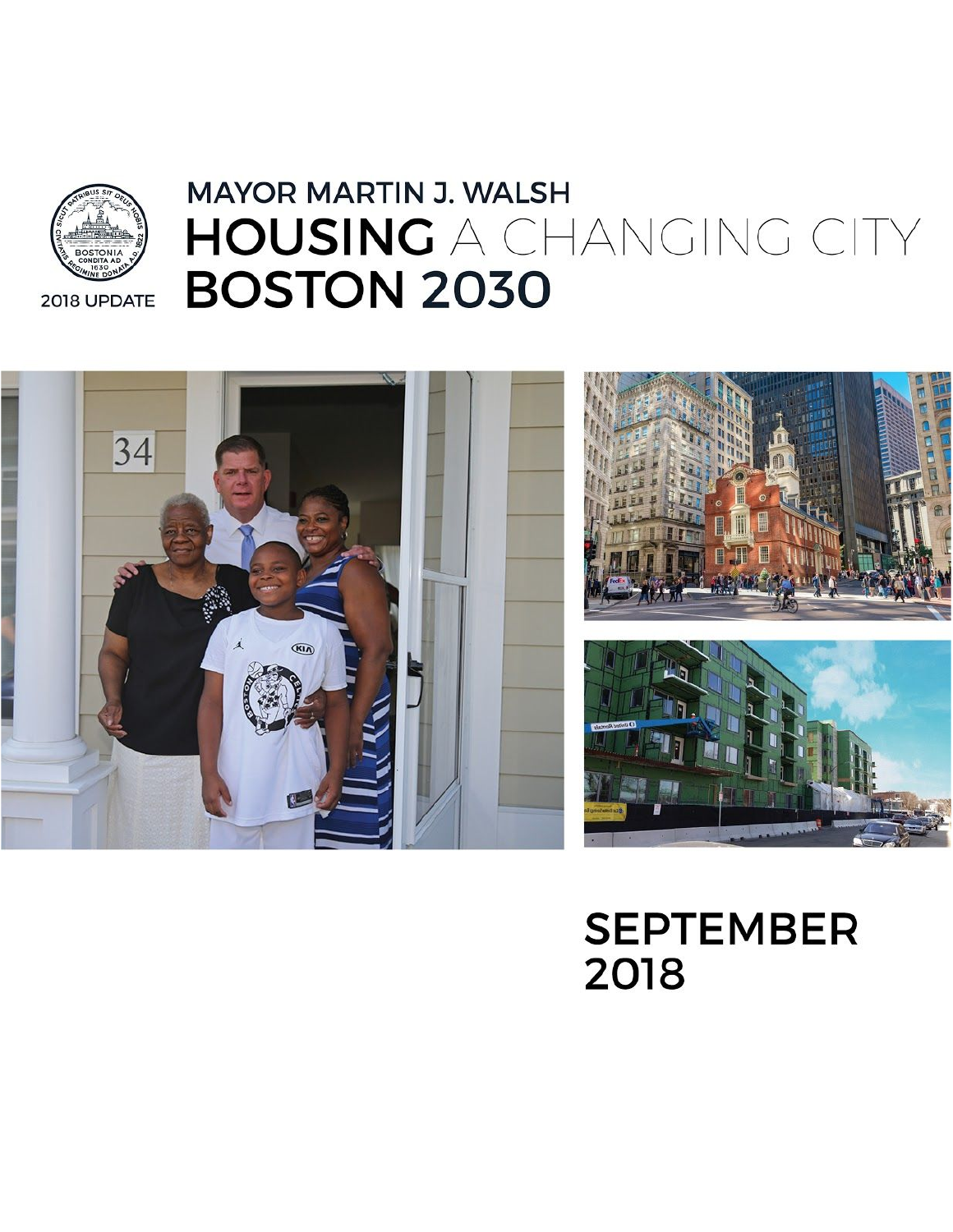# **MAYOR MARTIN J. WALSH** HOUSING A CHANGING CITY **BOSTON 2030**





**SEPTEMBER** 2018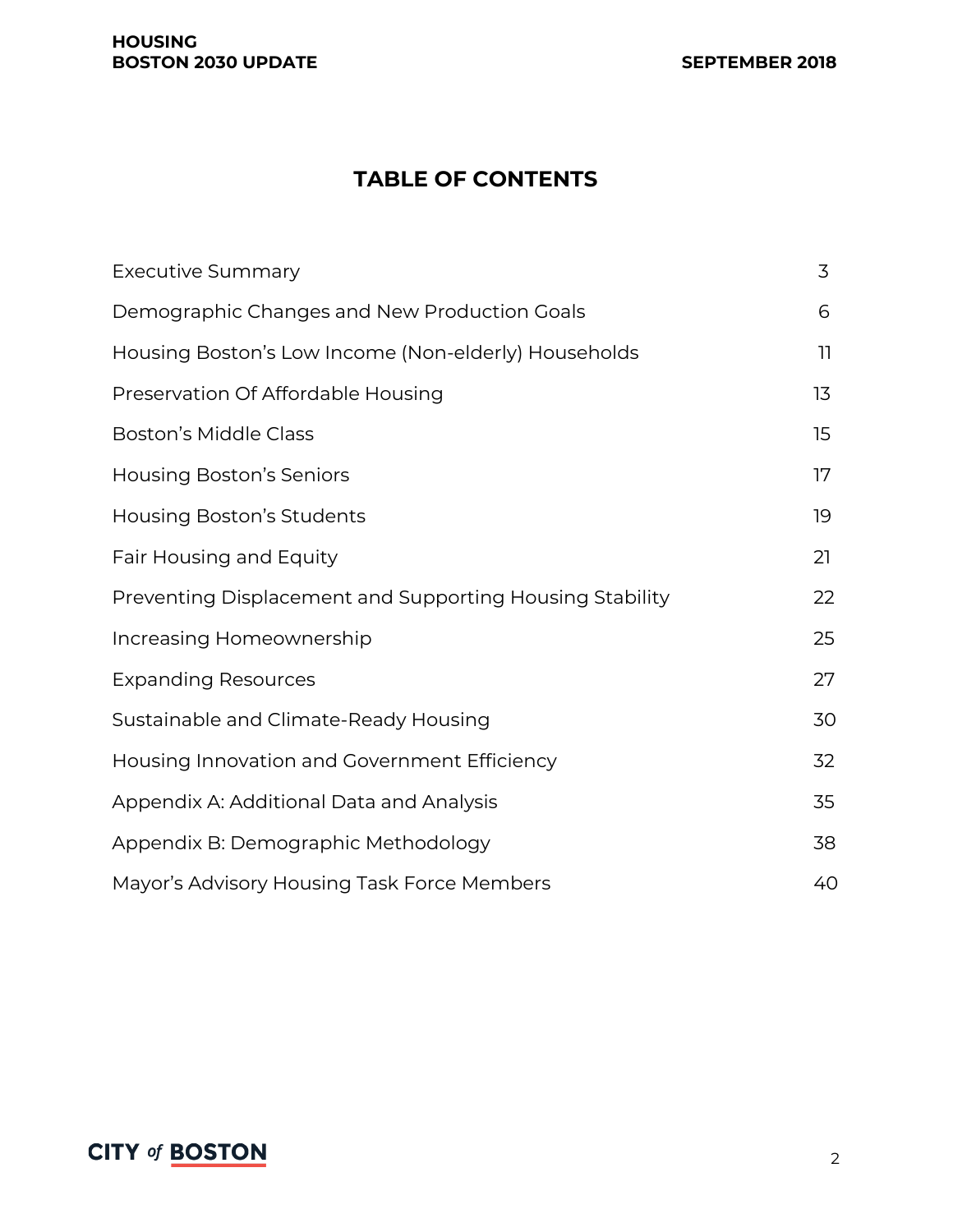#### **HOUSING BOSTON 2030 UPDATE SEPTEMBER 2018**

# **TABLE OF CONTENTS**

| <b>Executive Summary</b>                                 | 3            |
|----------------------------------------------------------|--------------|
| Demographic Changes and New Production Goals             | 6            |
| Housing Boston's Low Income (Non-elderly) Households     | $\mathbf{1}$ |
| Preservation Of Affordable Housing                       | 13           |
| <b>Boston's Middle Class</b>                             | 15           |
| <b>Housing Boston's Seniors</b>                          | 17           |
| Housing Boston's Students                                | 19           |
| Fair Housing and Equity                                  | 21           |
| Preventing Displacement and Supporting Housing Stability | 22           |
| Increasing Homeownership                                 | 25           |
| <b>Expanding Resources</b>                               | 27           |
| Sustainable and Climate-Ready Housing                    | 30           |
| Housing Innovation and Government Efficiency             | 32           |
| Appendix A: Additional Data and Analysis                 | 35           |
| Appendix B: Demographic Methodology                      | 38           |
| Mayor's Advisory Housing Task Force Members              | 40           |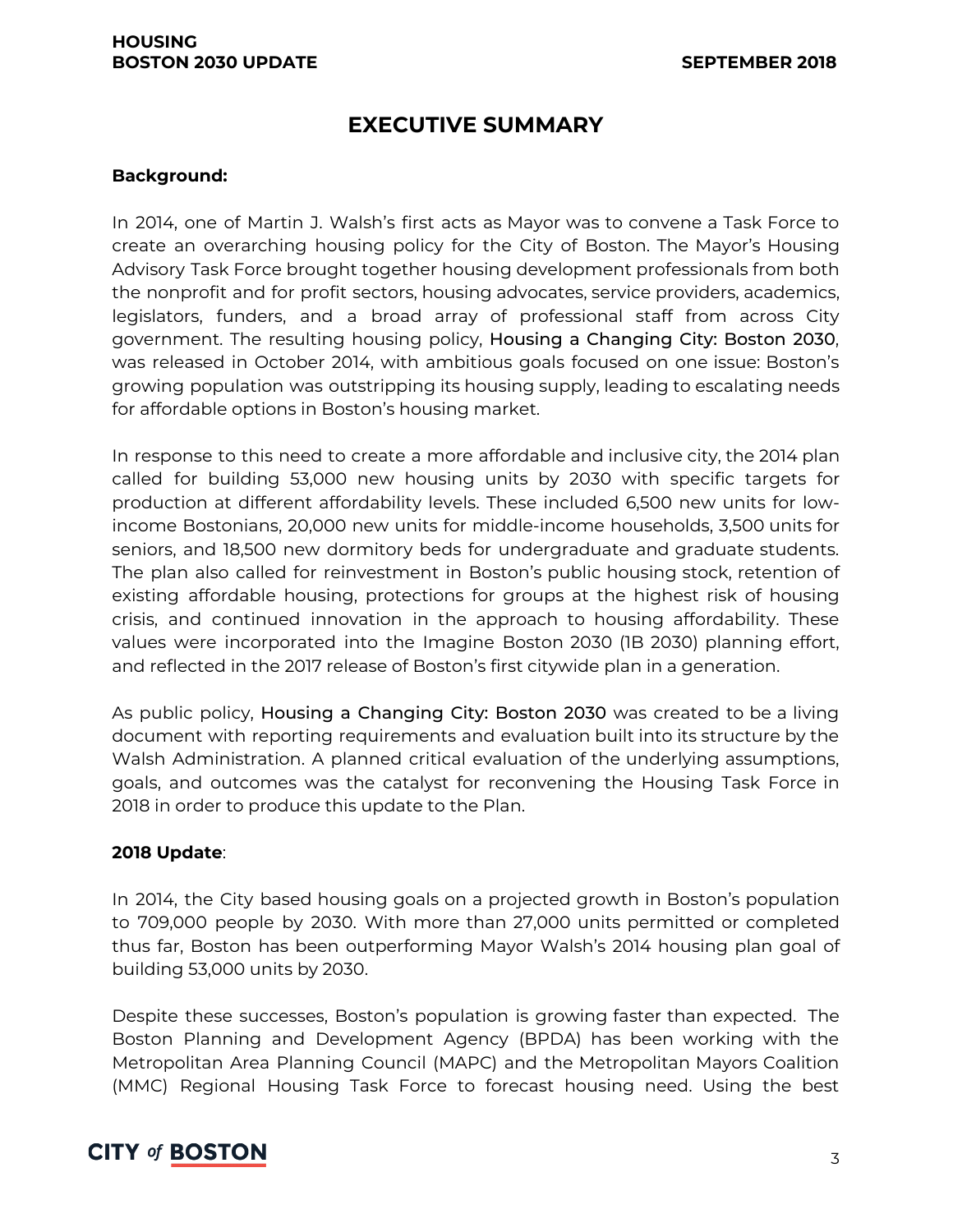### **EXECUTIVE SUMMARY**

#### **Background:**

In 2014, one of Martin J. Walsh's first acts as Mayor was to convene a Task Force to create an overarching housing policy for the City of Boston. The Mayor's Housing Advisory Task Force brought together housing development professionals from both the nonprofit and for profit sectors, housing advocates, service providers, academics, legislators, funders, and a broad array of professional staff from across City government. The resulting housing policy, Housing a Changing City: Boston 2030, was released in October 2014, with ambitious goals focused on one issue: Boston's growing population was outstripping its housing supply, leading to escalating needs for affordable options in Boston's housing market.

In response to this need to create a more affordable and inclusive city, the 2014 plan called for building 53,000 new housing units by 2030 with specific targets for production at different affordability levels. These included 6,500 new units for lowincome Bostonians, 20,000 new units for middle-income households, 3,500 units for seniors, and 18,500 new dormitory beds for undergraduate and graduate students. The plan also called for reinvestment in Boston's public housing stock, retention of existing affordable housing, protections for groups at the highest risk of housing crisis, and continued innovation in the approach to housing affordability. These values were incorporated into the Imagine Boston 2030 (1B 2030) planning effort, and reflected in the 2017 release of Boston's first citywide plan in a generation.

As public policy, Housing a Changing City: Boston 2030 was created to be a living document with reporting requirements and evaluation built into its structure by the Walsh Administration. A planned critical evaluation of the underlying assumptions, goals, and outcomes was the catalyst for reconvening the Housing Task Force in 2018 in order to produce this update to the Plan.

#### **2018 Update**:

In 2014, the City based housing goals on a projected growth in Boston's population to 709,000 people by 2030. With more than 27,000 units permitted or completed thus far, Boston has been outperforming Mayor Walsh's 2014 housing plan goal of building 53,000 units by 2030.

Despite these successes, Boston's population is growing faster than expected. The Boston Planning and Development Agency (BPDA) has been working with the Metropolitan Area Planning Council (MAPC) and the Metropolitan Mayors Coalition (MMC) Regional Housing Task Force to forecast housing need. Using the best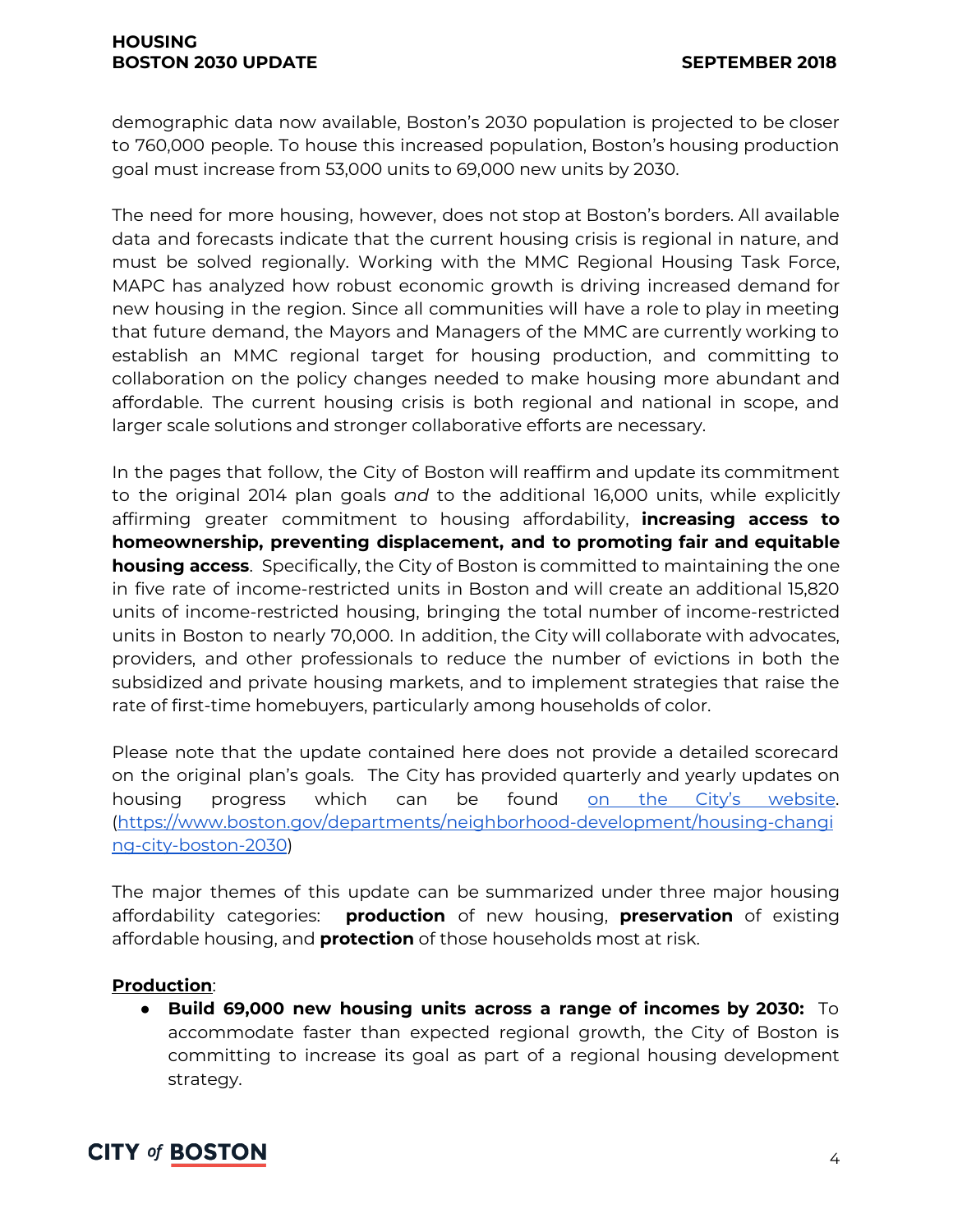demographic data now available, Boston's 2030 population is projected to be closer to 760,000 people. To house this increased population, Boston's housing production goal must increase from 53,000 units to 69,000 new units by 2030.

The need for more housing, however, does not stop at Boston's borders. All available data and forecasts indicate that the current housing crisis is regional in nature, and must be solved regionally. Working with the MMC Regional Housing Task Force, MAPC has analyzed how robust economic growth is driving increased demand for new housing in the region. Since all communities will have a role to play in meeting that future demand, the Mayors and Managers of the MMC are currently working to establish an MMC regional target for housing production, and committing to collaboration on the policy changes needed to make housing more abundant and affordable. The current housing crisis is both regional and national in scope, and larger scale solutions and stronger collaborative efforts are necessary.

In the pages that follow, the City of Boston will reaffirm and update its commitment to the original 2014 plan goals *and* to the additional 16,000 units, while explicitly affirming greater commitment to housing affordability, **increasing access to homeownership, preventing displacement, and to promoting fair and equitable housing access**. Specifically, the City of Boston is committed to maintaining the one in five rate of income-restricted units in Boston and will create an additional 15,820 units of income-restricted housing, bringing the total number of income-restricted units in Boston to nearly 70,000. In addition, the City will collaborate with advocates, providers, and other professionals to reduce the number of evictions in both the subsidized and private housing markets, and to implement strategies that raise the rate of first-time homebuyers, particularly among households of color.

Please note that the update contained here does not provide a detailed scorecard on the original plan's goals. The City has provided quarterly and yearly updates on housing progress which can be found on the City's [website](https://www.boston.gov/departments/neighborhood-development/housing-changing-city-boston-2030). ([https://www.boston.gov/departments/neighborhood-development/housing-changi](https://www.boston.gov/departments/neighborhood-development/housing-changing-city-boston-2030) [ng-city-boston-2030](https://www.boston.gov/departments/neighborhood-development/housing-changing-city-boston-2030))

The major themes of this update can be summarized under three major housing affordability categories: **production** of new housing, **preservation** of existing affordable housing, and **protection** of those households most at risk.

#### **Production**:

● **Build 69,000 new housing units across a range of incomes by 2030:** To accommodate faster than expected regional growth, the City of Boston is committing to increase its goal as part of a regional housing development strategy.

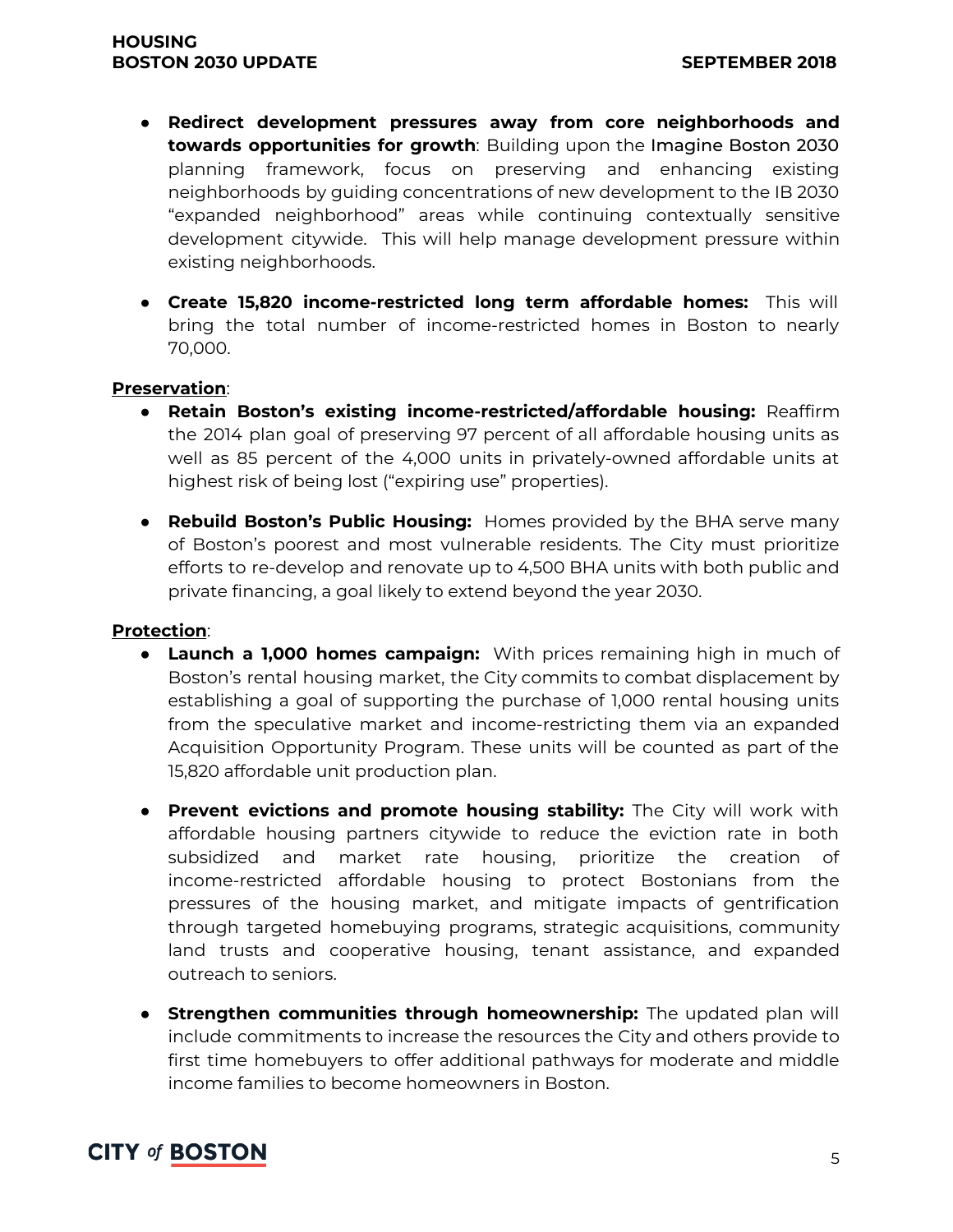- **Redirect development pressures away from core neighborhoods and towards opportunities for growth**: Building upon the Imagine Boston 2030 planning framework, focus on preserving and enhancing existing neighborhoods by guiding concentrations of new development to the IB 2030 "expanded neighborhood" areas while continuing contextually sensitive development citywide. This will help manage development pressure within existing neighborhoods.
- **Create 15,820 income-restricted long term affordable homes:** This will bring the total number of income-restricted homes in Boston to nearly 70,000.

#### **Preservation**:

- **Retain Boston's existing income-restricted/affordable housing:** Reaffirm the 2014 plan goal of preserving 97 percent of all affordable housing units as well as 85 percent of the 4,000 units in privately-owned affordable units at highest risk of being lost ("expiring use" properties).
- **Rebuild Boston's Public Housing:** Homes provided by the BHA serve many of Boston's poorest and most vulnerable residents. The City must prioritize efforts to re-develop and renovate up to 4,500 BHA units with both public and private financing, a goal likely to extend beyond the year 2030.

#### **Protection**:

- **Launch a 1,000 homes campaign:** With prices remaining high in much of Boston's rental housing market, the City commits to combat displacement by establishing a goal of supporting the purchase of 1,000 rental housing units from the speculative market and income-restricting them via an expanded Acquisition Opportunity Program. These units will be counted as part of the 15,820 affordable unit production plan.
- **Prevent evictions and promote housing stability:** The City will work with affordable housing partners citywide to reduce the eviction rate in both subsidized and market rate housing, prioritize the creation of income-restricted affordable housing to protect Bostonians from the pressures of the housing market, and mitigate impacts of gentrification through targeted homebuying programs, strategic acquisitions, community land trusts and cooperative housing, tenant assistance, and expanded outreach to seniors.
- **● Strengthen communities through homeownership:** The updated plan will include commitments to increase the resources the City and others provide to first time homebuyers to offer additional pathways for moderate and middle income families to become homeowners in Boston.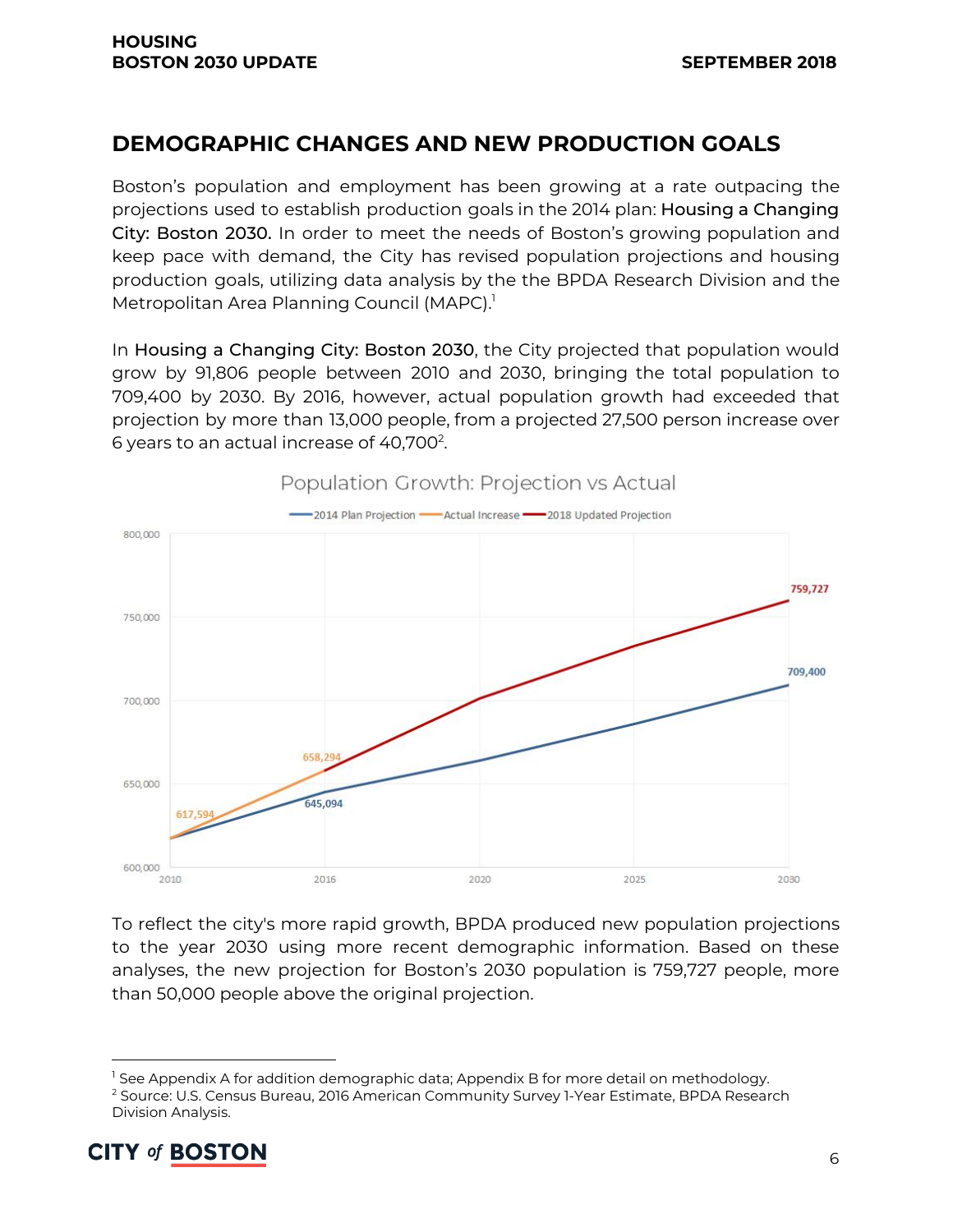### **DEMOGRAPHIC CHANGES AND NEW PRODUCTION GOALS**

Boston's population and employment has been growing at a rate outpacing the projections used to establish production goals in the 2014 plan: Housing a Changing City: Boston 2030. In order to meet the needs of Boston's growing population and keep pace with demand, the City has revised population projections and housing production goals, utilizing data analysis by the the BPDA Research Division and the Metropolitan Area Planning Council (MAPC). 1

In Housing a Changing City: Boston 2030, the City projected that population would grow by 91,806 people between 2010 and 2030, bringing the total population to 709,400 by 2030. By 2016, however, actual population growth had exceeded that projection by more than 13,000 people, from a projected 27,500 person increase over 6 years to an actual increase of 40,700 $^2$ .



To reflect the city's more rapid growth, BPDA produced new population projections to the year 2030 using more recent demographic information. Based on these analyses, the new projection for Boston's 2030 population is 759,727 people, more than 50,000 people above the original projection.

<sup>&</sup>lt;sup>2</sup> Source: U.S. Census Bureau, 2016 American Community Survey 1-Year Estimate, BPDA Research Division Analysis.



 $<sup>1</sup>$  See Appendix A for addition demographic data; Appendix B for more detail on methodology.</sup>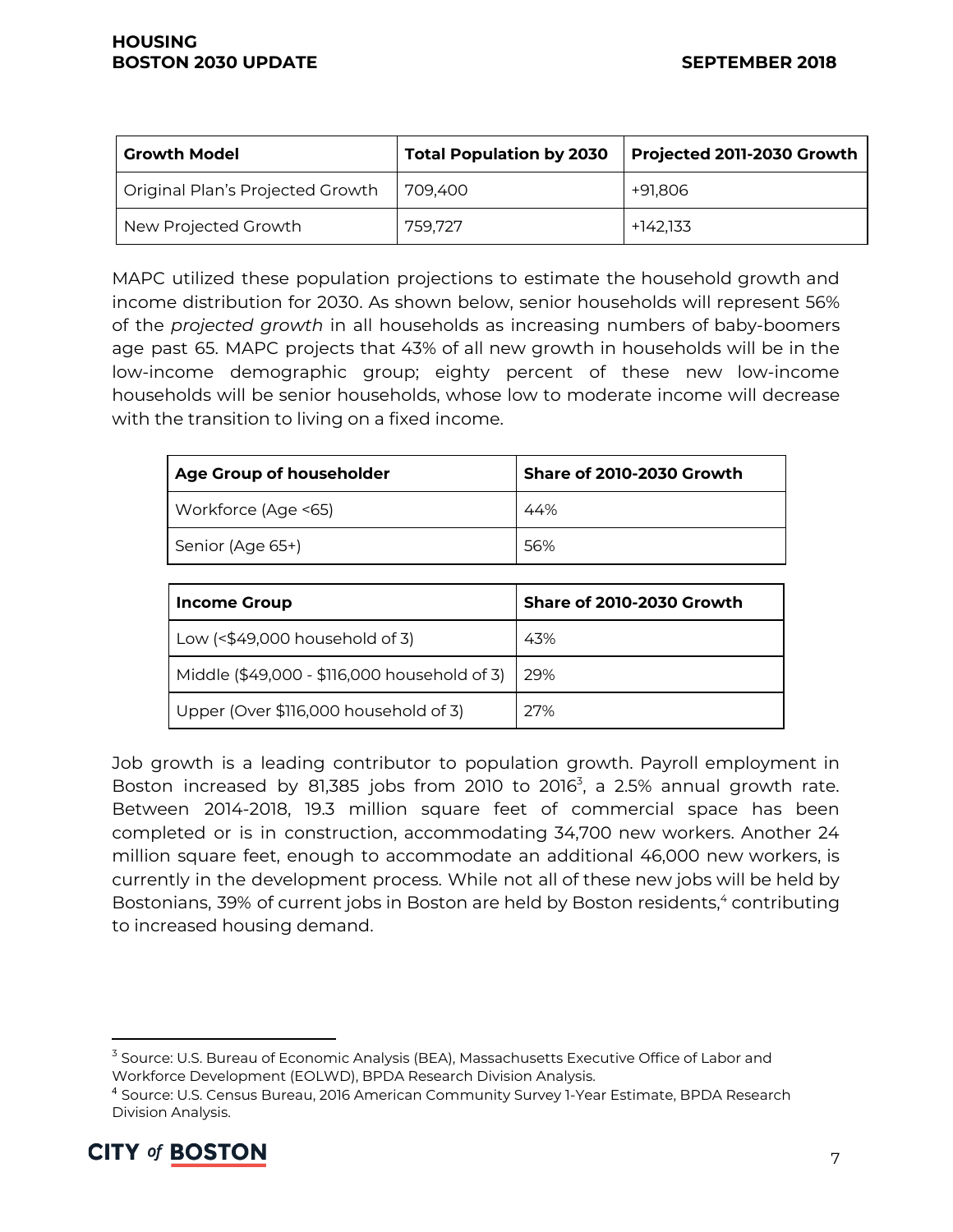| <b>Growth Model</b>              | <b>Total Population by 2030</b> | Projected 2011-2030 Growth |
|----------------------------------|---------------------------------|----------------------------|
| Original Plan's Projected Growth | 709.400                         | +91.806                    |
| New Projected Growth             | 759.727                         | +142,133                   |

MAPC utilized these population projections to estimate the household growth and income distribution for 2030. As shown below, senior households will represent 56% of the *projected growth* in all households as increasing numbers of baby-boomers age past 65. MAPC projects that 43% of all new growth in households will be in the low-income demographic group; eighty percent of these new low-income households will be senior households, whose low to moderate income will decrease with the transition to living on a fixed income.

| Age Group of householder | Share of 2010-2030 Growth |  |
|--------------------------|---------------------------|--|
| Workforce (Age <65)      | 44%                       |  |
| Senior (Age 65+)         | 56%                       |  |

| <b>Income Group</b>                          | Share of 2010-2030 Growth |
|----------------------------------------------|---------------------------|
| Low $($49,000 household of 3)$               | 43%                       |
| Middle (\$49,000 - \$116,000 household of 3) | -29%                      |
| Upper (Over \$116,000 household of 3)        | 27%                       |

Job growth is a leading contributor to population growth. Payroll employment in Boston increased by 81,385 jobs from 2010 to 2016 $3$ , a 2.5% annual growth rate. Between 2014-2018, 19.3 million square feet of commercial space has been completed or is in construction, accommodating 34,700 new workers. Another 24 million square feet, enough to accommodate an additional 46,000 new workers, is currently in the development process. While not all of these new jobs will be held by Bostonians, 39% of current jobs in Boston are held by Boston residents,<sup>4</sup> contributing to increased housing demand.

<sup>4</sup> Source: U.S. Census Bureau, 2016 American Community Survey 1-Year Estimate, BPDA Research Division Analysis.



<sup>&</sup>lt;sup>3</sup> Source: U.S. Bureau of Economic Analysis (BEA), Massachusetts Executive Office of Labor and Workforce Development (EOLWD), BPDA Research Division Analysis.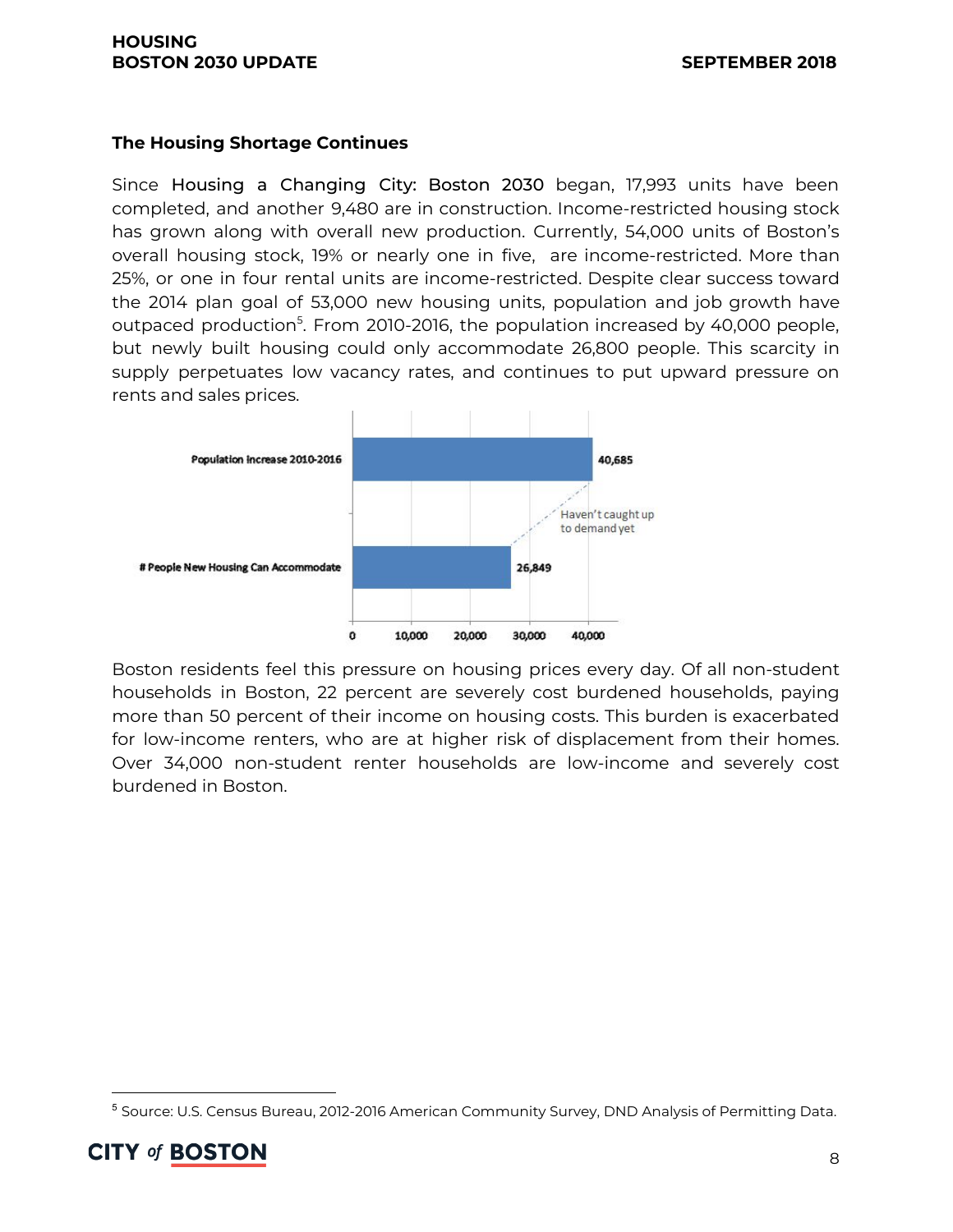#### **The Housing Shortage Continues**

Since Housing a Changing City: Boston 2030 began, 17,993 units have been completed, and another 9,480 are in construction. Income-restricted housing stock has grown along with overall new production. Currently, 54,000 units of Boston's overall housing stock, 19% or nearly one in five, are income-restricted. More than 25%, or one in four rental units are income-restricted. Despite clear success toward the 2014 plan goal of 53,000 new housing units, population and job growth have outpaced production<sup>5</sup>. From 2010-2016, the population increased by 40,000 people, but newly built housing could only accommodate 26,800 people. This scarcity in supply perpetuates low vacancy rates, and continues to put upward pressure on rents and sales prices.



Boston residents feel this pressure on housing prices every day. Of all non-student households in Boston, 22 percent are severely cost burdened households, paying more than 50 percent of their income on housing costs. This burden is exacerbated for low-income renters, who are at higher risk of displacement from their homes. Over 34,000 non-student renter households are low-income and severely cost burdened in Boston.

<sup>5</sup> Source: U.S. Census Bureau, 2012-2016 American Community Survey, DND Analysis of Permitting Data.

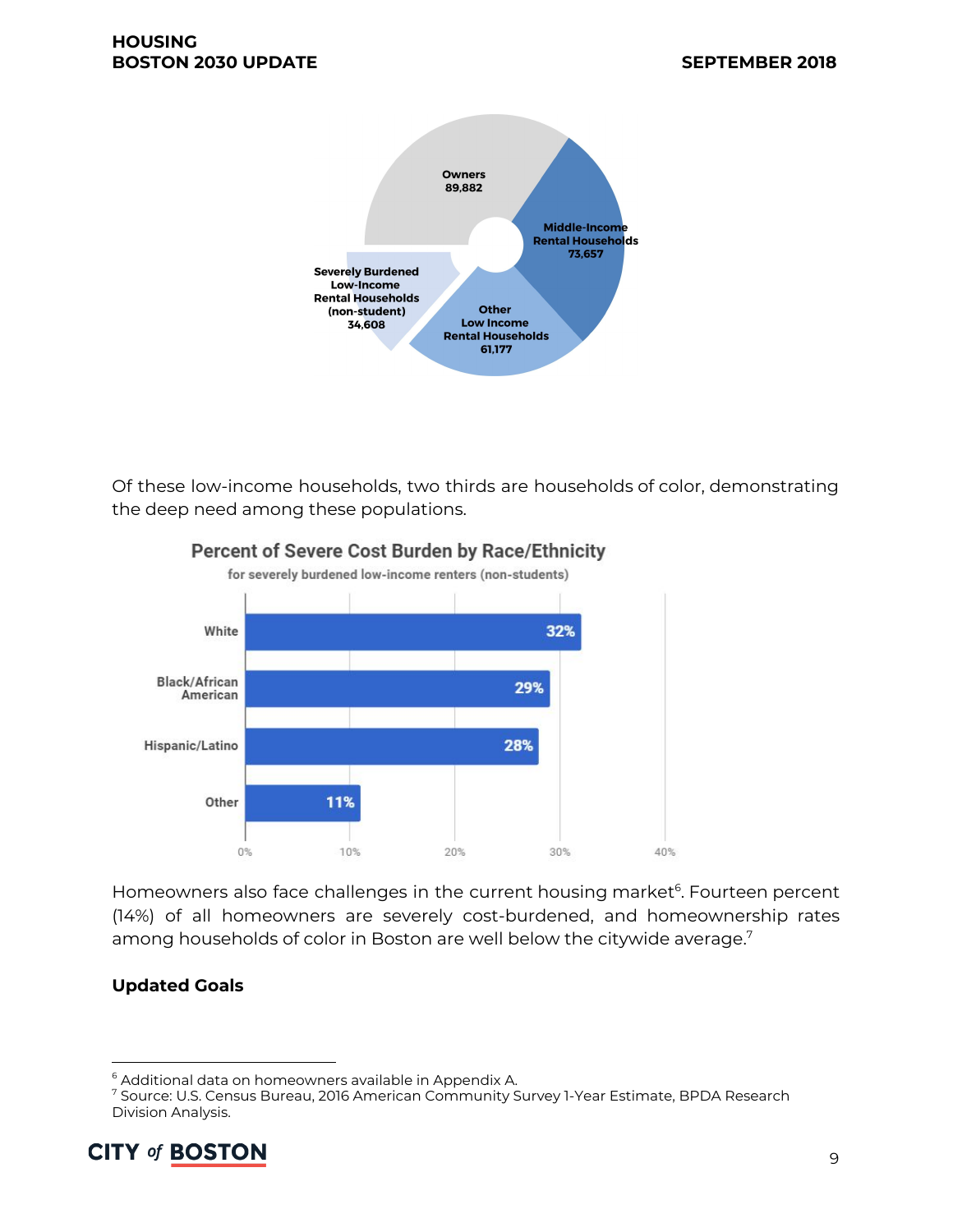

Of these low-income households, two thirds are households of color, demonstrating the deep need among these populations.



#### Percent of Severe Cost Burden by Race/Ethnicity

Homeowners also face challenges in the current housing market<sup>6</sup>. Fourteen percent (14%) of all homeowners are severely cost-burdened, and homeownership rates among households of color in Boston are well below the citywide average. $^7$ 

#### **Updated Goals**

<sup>7</sup> Source: U.S. Census Bureau, 2016 American Community Survey 1-Year Estimate, BPDA Research Division Analysis.



<sup>&</sup>lt;sup>6</sup> Additional data on homeowners available in Appendix A.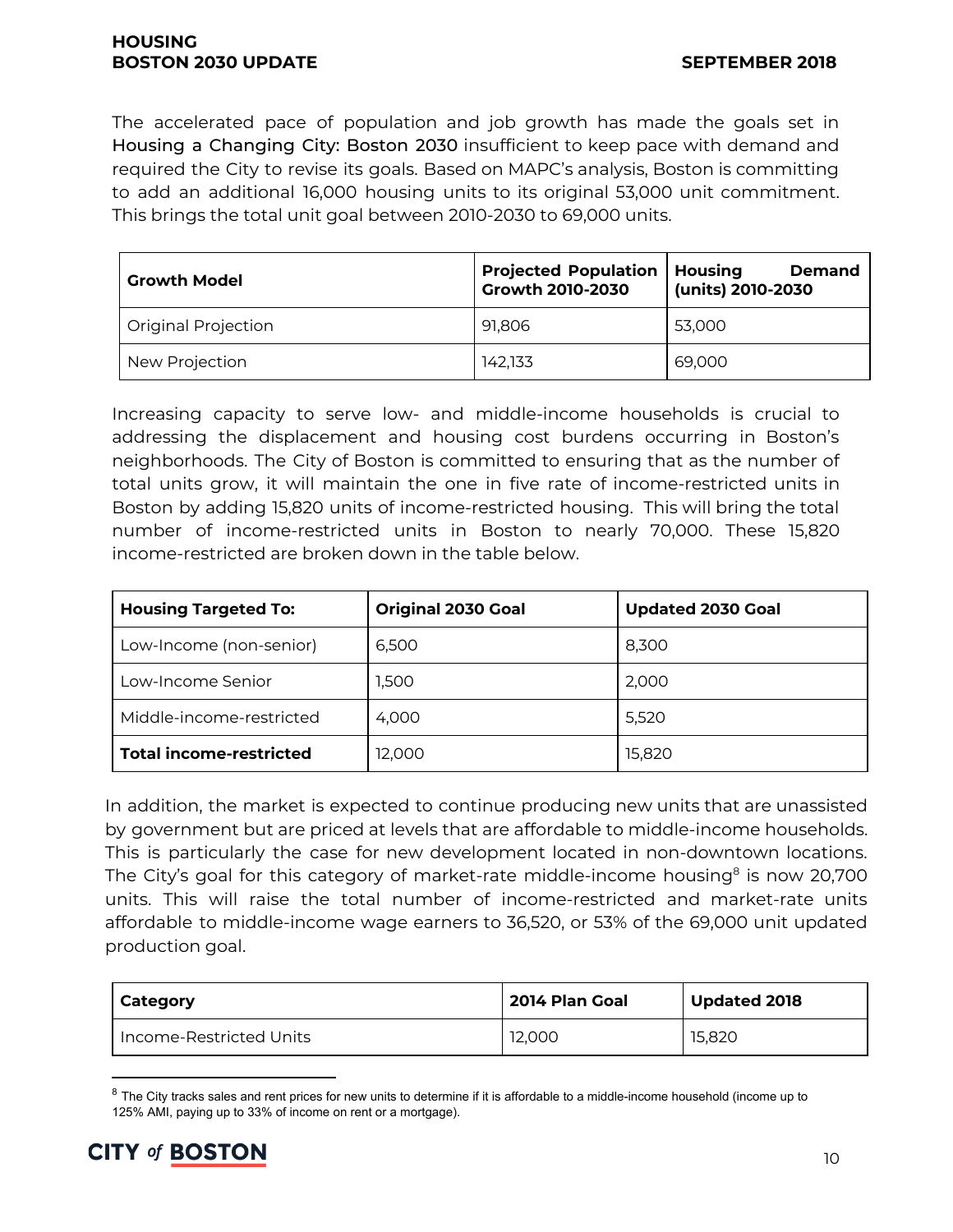#### **HOUSING BOSTON 2030 UPDATE SEPTEMBER 2018**

The accelerated pace of population and job growth has made the goals set in Housing a Changing City: Boston 2030 insufficient to keep pace with demand and required the City to revise its goals. Based on MAPC's analysis, Boston is committing to add an additional 16,000 housing units to its original 53,000 unit commitment. This brings the total unit goal between 2010-2030 to 69,000 units.

| <b>Growth Model</b> | <b>Projected Population</b><br>Growth 2010-2030 | <b>Housing</b><br><b>Demand</b><br>(units) 2010-2030 |
|---------------------|-------------------------------------------------|------------------------------------------------------|
| Original Projection | 91,806                                          | 53,000                                               |
| New Projection      | 142.133                                         | 69,000                                               |

Increasing capacity to serve low- and middle-income households is crucial to addressing the displacement and housing cost burdens occurring in Boston's neighborhoods. The City of Boston is committed to ensuring that as the number of total units grow, it will maintain the one in five rate of income-restricted units in Boston by adding 15,820 units of income-restricted housing. This will bring the total number of income-restricted units in Boston to nearly 70,000. These 15,820 income-restricted are broken down in the table below.

| <b>Housing Targeted To:</b>    | <b>Original 2030 Goal</b> | <b>Updated 2030 Goal</b> |
|--------------------------------|---------------------------|--------------------------|
| Low-Income (non-senior)        | 6.500                     | 8,300                    |
| Low-Income Senior              | 1,500                     | 2,000                    |
| Middle-income-restricted       | 4.000                     | 5,520                    |
| <b>Total income-restricted</b> | 12,000                    | 15,820                   |

In addition, the market is expected to continue producing new units that are unassisted by government but are priced at levels that are affordable to middle-income households. This is particularly the case for new development located in non-downtown locations. The City's goal for this category of market-rate middle-income housing $^{\text{8}}$  is now 20,700 units. This will raise the total number of income-restricted and market-rate units affordable to middle-income wage earners to 36,520, or 53% of the 69,000 unit updated production goal.

| Category                | 2014 Plan Goal | <b>Updated 2018</b> |
|-------------------------|----------------|---------------------|
| Income-Restricted Units | 12.000         | 15.820              |

 $8$  The City tracks sales and rent prices for new units to determine if it is affordable to a middle-income household (income up to 125% AMI, paying up to 33% of income on rent or a mortgage).

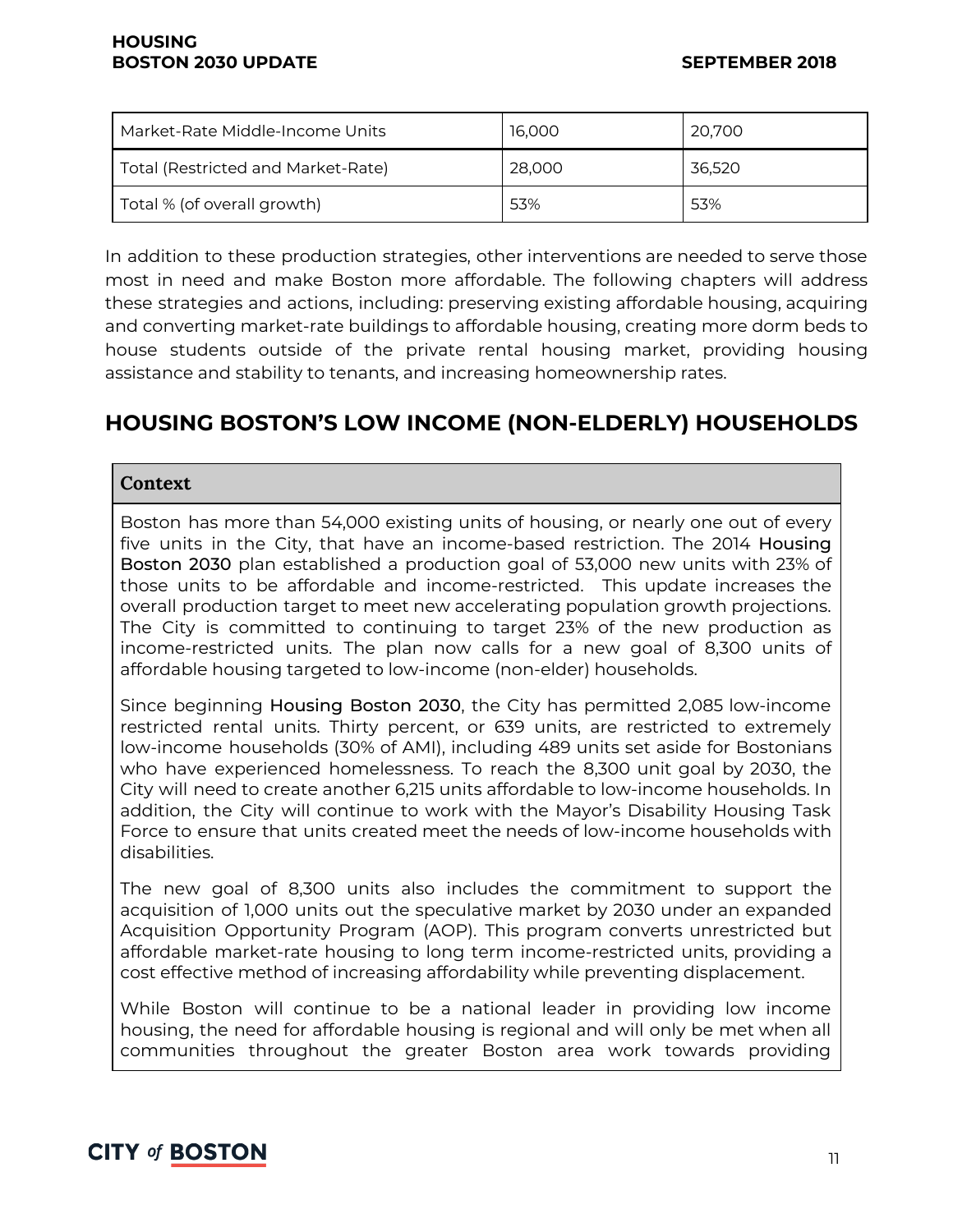| Market-Rate Middle-Income Units    | 16,000 | 20,700 |
|------------------------------------|--------|--------|
| Total (Restricted and Market-Rate) | 28,000 | 36,520 |
| Total % (of overall growth)        | 53%    | 53%    |

In addition to these production strategies, other interventions are needed to serve those most in need and make Boston more affordable. The following chapters will address these strategies and actions, including: preserving existing affordable housing, acquiring and converting market-rate buildings to affordable housing, creating more dorm beds to house students outside of the private rental housing market, providing housing assistance and stability to tenants, and increasing homeownership rates.

# **HOUSING BOSTON'S LOW INCOME (NON-ELDERLY) HOUSEHOLDS**

#### **Context**

Boston has more than 54,000 existing units of housing, or nearly one out of every five units in the City, that have an income-based restriction. The 2014 Housing Boston 2030 plan established a production goal of 53,000 new units with 23% of those units to be affordable and income-restricted. This update increases the overall production target to meet new accelerating population growth projections. The City is committed to continuing to target 23% of the new production as income-restricted units. The plan now calls for a new goal of 8,300 units of affordable housing targeted to low-income (non-elder) households.

Since beginning Housing Boston 2030, the City has permitted 2,085 low-income restricted rental units. Thirty percent, or 639 units, are restricted to extremely low-income households (30% of AMI), including 489 units set aside for Bostonians who have experienced homelessness. To reach the 8,300 unit goal by 2030, the City will need to create another 6,215 units affordable to low-income households. In addition, the City will continue to work with the Mayor's Disability Housing Task Force to ensure that units created meet the needs of low-income households with disabilities.

The new goal of 8,300 units also includes the commitment to support the acquisition of 1,000 units out the speculative market by 2030 under an expanded Acquisition Opportunity Program (AOP). This program converts unrestricted but affordable market-rate housing to long term income-restricted units, providing a cost effective method of increasing affordability while preventing displacement.

While Boston will continue to be a national leader in providing low income housing, the need for affordable housing is regional and will only be met when all communities throughout the greater Boston area work towards providing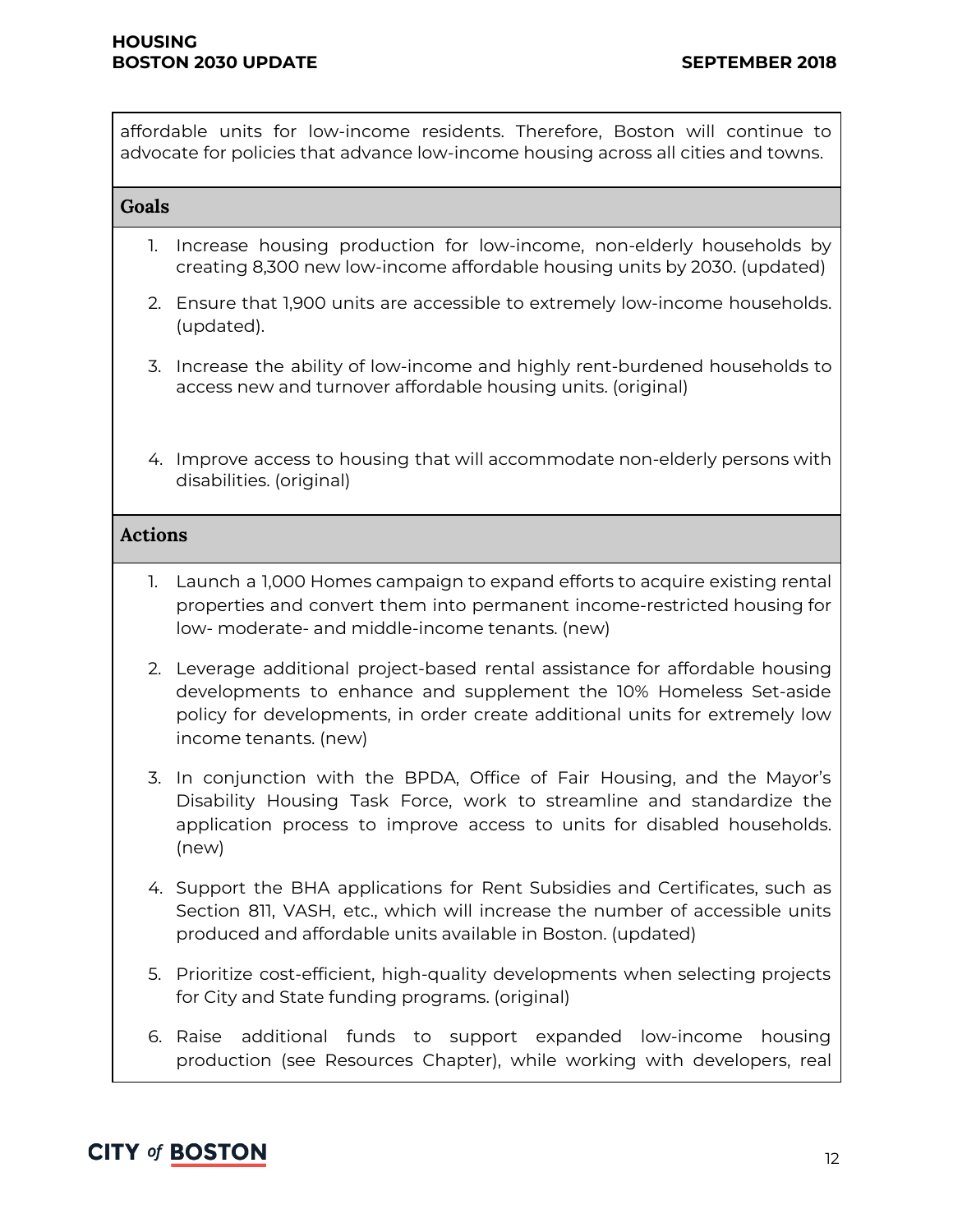affordable units for low-income residents. Therefore, Boston will continue to advocate for policies that advance low-income housing across all cities and towns.

#### **Goals**

- 1. Increase housing production for low-income, non-elderly households by creating 8,300 new low-income affordable housing units by 2030. (updated)
- 2. Ensure that 1,900 units are accessible to extremely low-income households. (updated).
- 3. Increase the ability of low-income and highly rent-burdened households to access new and turnover affordable housing units. (original)
- 4. Improve access to housing that will accommodate non-elderly persons with disabilities. (original)

#### **Actions**

- 1. Launch a 1,000 Homes campaign to expand efforts to acquire existing rental properties and convert them into permanent income-restricted housing for low- moderate- and middle-income tenants. (new)
- 2. Leverage additional project-based rental assistance for affordable housing developments to enhance and supplement the 10% Homeless Set-aside policy for developments, in order create additional units for extremely low income tenants. (new)
- 3. In conjunction with the BPDA, Office of Fair Housing, and the Mayor's Disability Housing Task Force, work to streamline and standardize the application process to improve access to units for disabled households. (new)
- 4. Support the BHA applications for Rent Subsidies and Certificates, such as Section 811, VASH, etc., which will increase the number of accessible units produced and affordable units available in Boston. (updated)
- 5. Prioritize cost-efficient, high-quality developments when selecting projects for City and State funding programs. (original)
- 6. Raise additional funds to support expanded low-income housing production (see Resources Chapter), while working with developers, real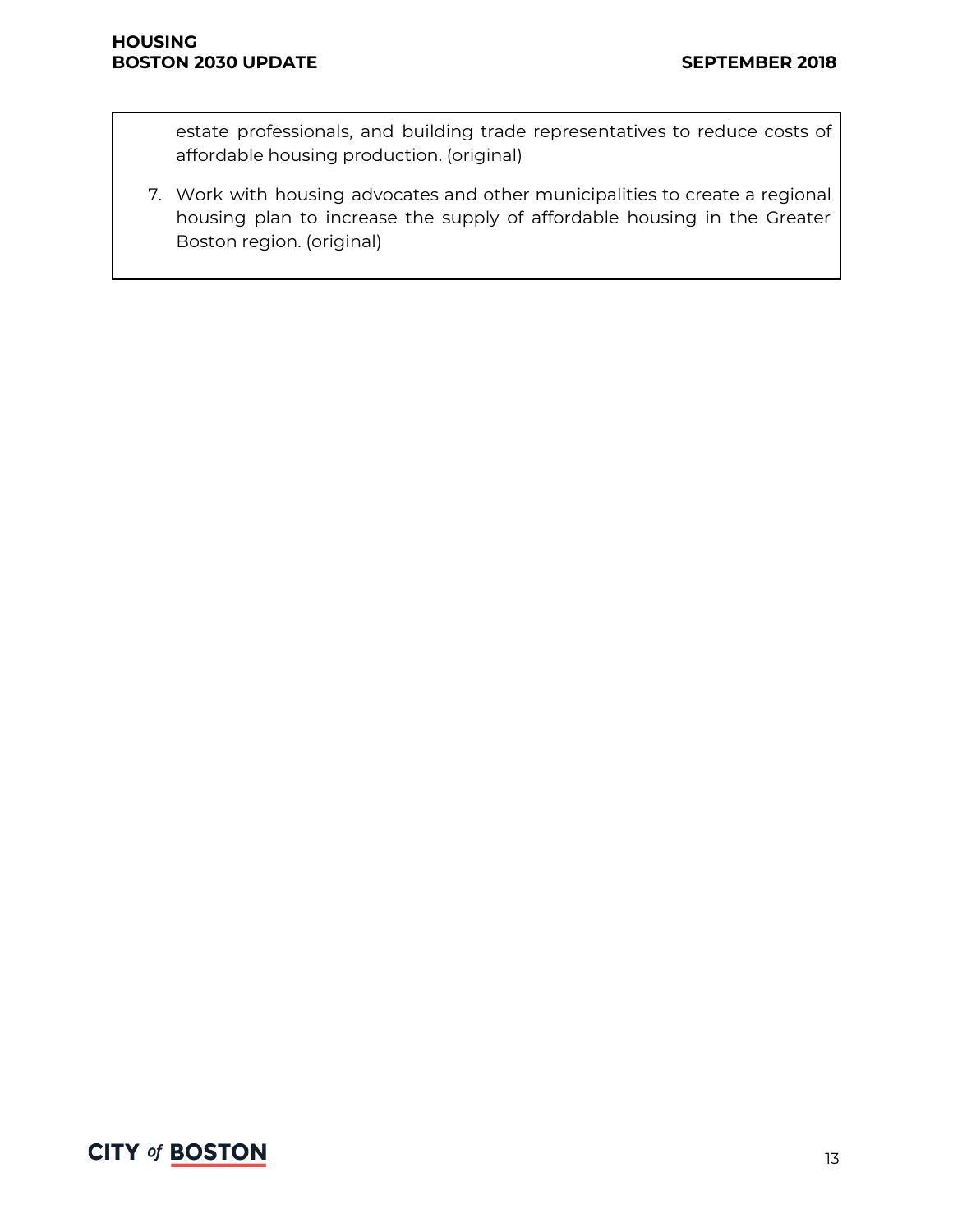estate professionals, and building trade representatives to reduce costs of affordable housing production. (original)

7. Work with housing advocates and other municipalities to create a regional housing plan to increase the supply of affordable housing in the Greater Boston region. (original)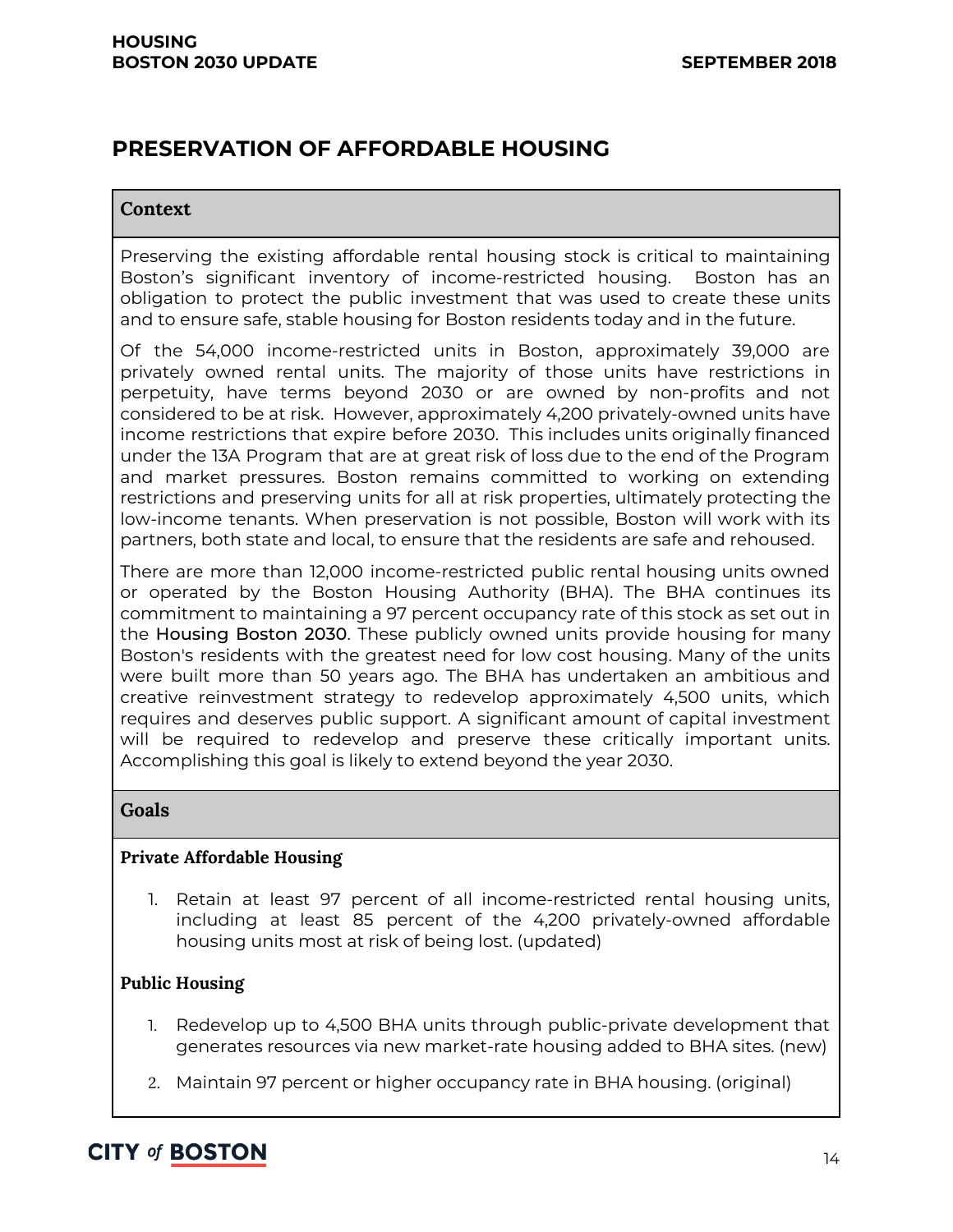# **PRESERVATION OF AFFORDABLE HOUSING**

#### **Context**

Preserving the existing affordable rental housing stock is critical to maintaining Boston's significant inventory of income-restricted housing. Boston has an obligation to protect the public investment that was used to create these units and to ensure safe, stable housing for Boston residents today and in the future.

Of the 54,000 income-restricted units in Boston, approximately 39,000 are privately owned rental units. The majority of those units have restrictions in perpetuity, have terms beyond 2030 or are owned by non-profits and not considered to be at risk. However, approximately 4,200 privately-owned units have income restrictions that expire before 2030. This includes units originally financed under the 13A Program that are at great risk of loss due to the end of the Program and market pressures. Boston remains committed to working on extending restrictions and preserving units for all at risk properties, ultimately protecting the low-income tenants. When preservation is not possible, Boston will work with its partners, both state and local, to ensure that the residents are safe and rehoused.

There are more than 12,000 income-restricted public rental housing units owned or operated by the Boston Housing Authority (BHA). The BHA continues its commitment to maintaining a 97 percent occupancy rate of this stock as set out in the Housing Boston 2030. These publicly owned units provide housing for many Boston's residents with the greatest need for low cost housing. Many of the units were built more than 50 years ago. The BHA has undertaken an ambitious and creative reinvestment strategy to redevelop approximately 4,500 units, which requires and deserves public support. A significant amount of capital investment will be required to redevelop and preserve these critically important units. Accomplishing this goal is likely to extend beyond the year 2030.

#### **Goals**

#### **Private Affordable Housing**

1. Retain at least 97 percent of all income-restricted rental housing units, including at least 85 percent of the 4,200 privately-owned affordable housing units most at risk of being lost. (updated)

#### **Public Housing**

- 1. Redevelop up to 4,500 BHA units through public-private development that generates resources via new market-rate housing added to BHA sites. (new)
- 2. Maintain 97 percent or higher occupancy rate in BHA housing. (original)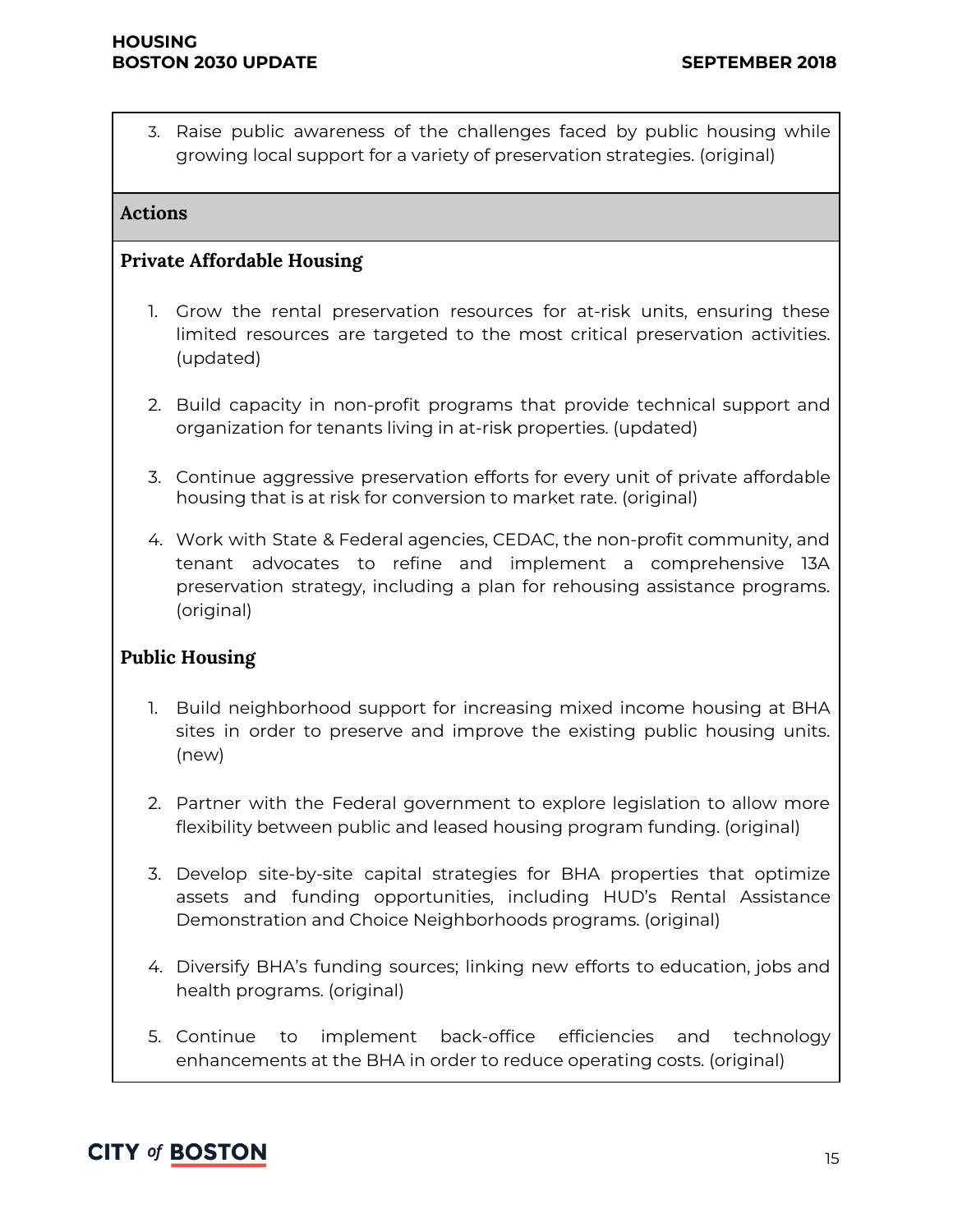3. Raise public awareness of the challenges faced by public housing while growing local support for a variety of preservation strategies. (original)

#### **Actions**

#### **Private Affordable Housing**

- 1. Grow the rental preservation resources for at-risk units, ensuring these limited resources are targeted to the most critical preservation activities. (updated)
- 2. Build capacity in non-profit programs that provide technical support and organization for tenants living in at-risk properties. (updated)
- 3. Continue aggressive preservation efforts for every unit of private affordable housing that is at risk for conversion to market rate. (original)
- 4. Work with State & Federal agencies, CEDAC, the non-profit community, and tenant advocates to refine and implement a comprehensive 13A preservation strategy, including a plan for rehousing assistance programs. (original)

#### **Public Housing**

- 1. Build neighborhood support for increasing mixed income housing at BHA sites in order to preserve and improve the existing public housing units. (new)
- 2. Partner with the Federal government to explore legislation to allow more flexibility between public and leased housing program funding. (original)
- 3. Develop site-by-site capital strategies for BHA properties that optimize assets and funding opportunities, including HUD's Rental Assistance Demonstration and Choice Neighborhoods programs. (original)
- 4. Diversify BHA's funding sources; linking new efforts to education, jobs and health programs. (original)
- 5. Continue to implement back-office efficiencies and technology enhancements at the BHA in order to reduce operating costs. (original)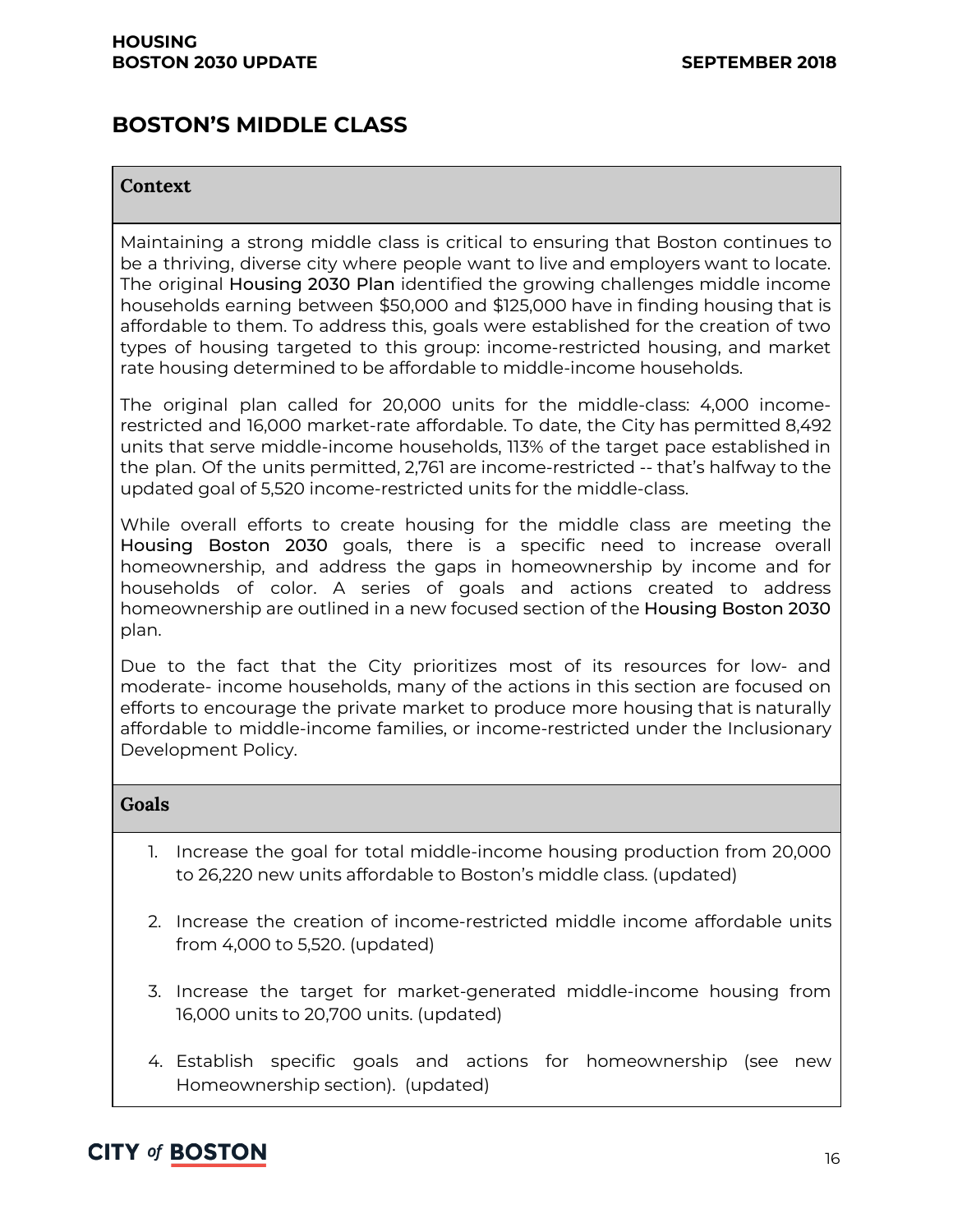### **BOSTON'S MIDDLE CLASS**

#### **Context**

Maintaining a strong middle class is critical to ensuring that Boston continues to be a thriving, diverse city where people want to live and employers want to locate. The original Housing 2030 Plan identified the growing challenges middle income households earning between \$50,000 and \$125,000 have in finding housing that is affordable to them. To address this, goals were established for the creation of two types of housing targeted to this group: income-restricted housing, and market rate housing determined to be affordable to middle-income households.

The original plan called for 20,000 units for the middle-class: 4,000 incomerestricted and 16,000 market-rate affordable. To date, the City has permitted 8,492 units that serve middle-income households, 113% of the target pace established in the plan. Of the units permitted, 2,761 are income-restricted -- that's halfway to the updated goal of 5,520 income-restricted units for the middle-class.

While overall efforts to create housing for the middle class are meeting the Housing Boston 2030 goals, there is a specific need to increase overall homeownership, and address the gaps in homeownership by income and for households of color. A series of goals and actions created to address homeownership are outlined in a new focused section of the Housing Boston 2030 plan.

Due to the fact that the City prioritizes most of its resources for low- and moderate- income households, many of the actions in this section are focused on efforts to encourage the private market to produce more housing that is naturally affordable to middle-income families, or income-restricted under the Inclusionary Development Policy.

#### **Goals**

- 1. Increase the goal for total middle-income housing production from 20,000 to 26,220 new units affordable to Boston's middle class. (updated)
- 2. Increase the creation of income-restricted middle income affordable units from 4,000 to 5,520. (updated)
- 3. Increase the target for market-generated middle-income housing from 16,000 units to 20,700 units. (updated)
- 4. Establish specific goals and actions for homeownership (see new Homeownership section). (updated)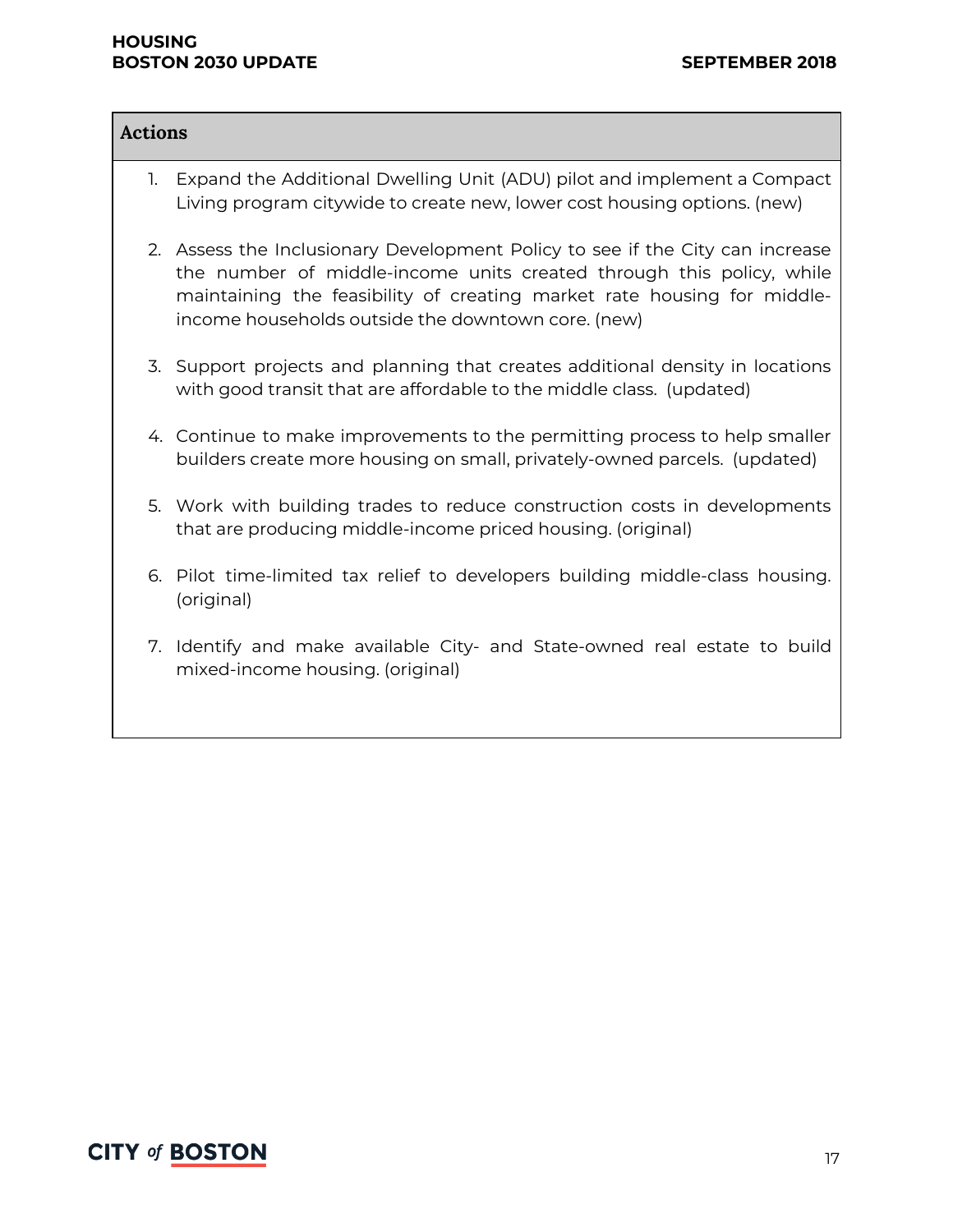#### **HOUSING BOSTON 2030 UPDATE SEPTEMBER 2018**

| Actions |    |                                                                                                                                                                                                                                                                                        |
|---------|----|----------------------------------------------------------------------------------------------------------------------------------------------------------------------------------------------------------------------------------------------------------------------------------------|
|         | 1. | Expand the Additional Dwelling Unit (ADU) pilot and implement a Compact<br>Living program citywide to create new, lower cost housing options. (new)                                                                                                                                    |
|         |    | 2. Assess the Inclusionary Development Policy to see if the City can increase<br>the number of middle-income units created through this policy, while<br>maintaining the feasibility of creating market rate housing for middle-<br>income households outside the downtown core. (new) |
|         |    | 3. Support projects and planning that creates additional density in locations<br>with good transit that are affordable to the middle class. (updated)                                                                                                                                  |
|         |    | 4. Continue to make improvements to the permitting process to help smaller<br>builders create more housing on small, privately-owned parcels. (updated)                                                                                                                                |
|         |    | 5. Work with building trades to reduce construction costs in developments<br>that are producing middle-income priced housing. (original)                                                                                                                                               |
|         |    | 6. Pilot time-limited tax relief to developers building middle-class housing.<br>(original)                                                                                                                                                                                            |
|         |    | 7. Identify and make available City- and State-owned real estate to build<br>mixed-income housing. (original)                                                                                                                                                                          |
|         |    |                                                                                                                                                                                                                                                                                        |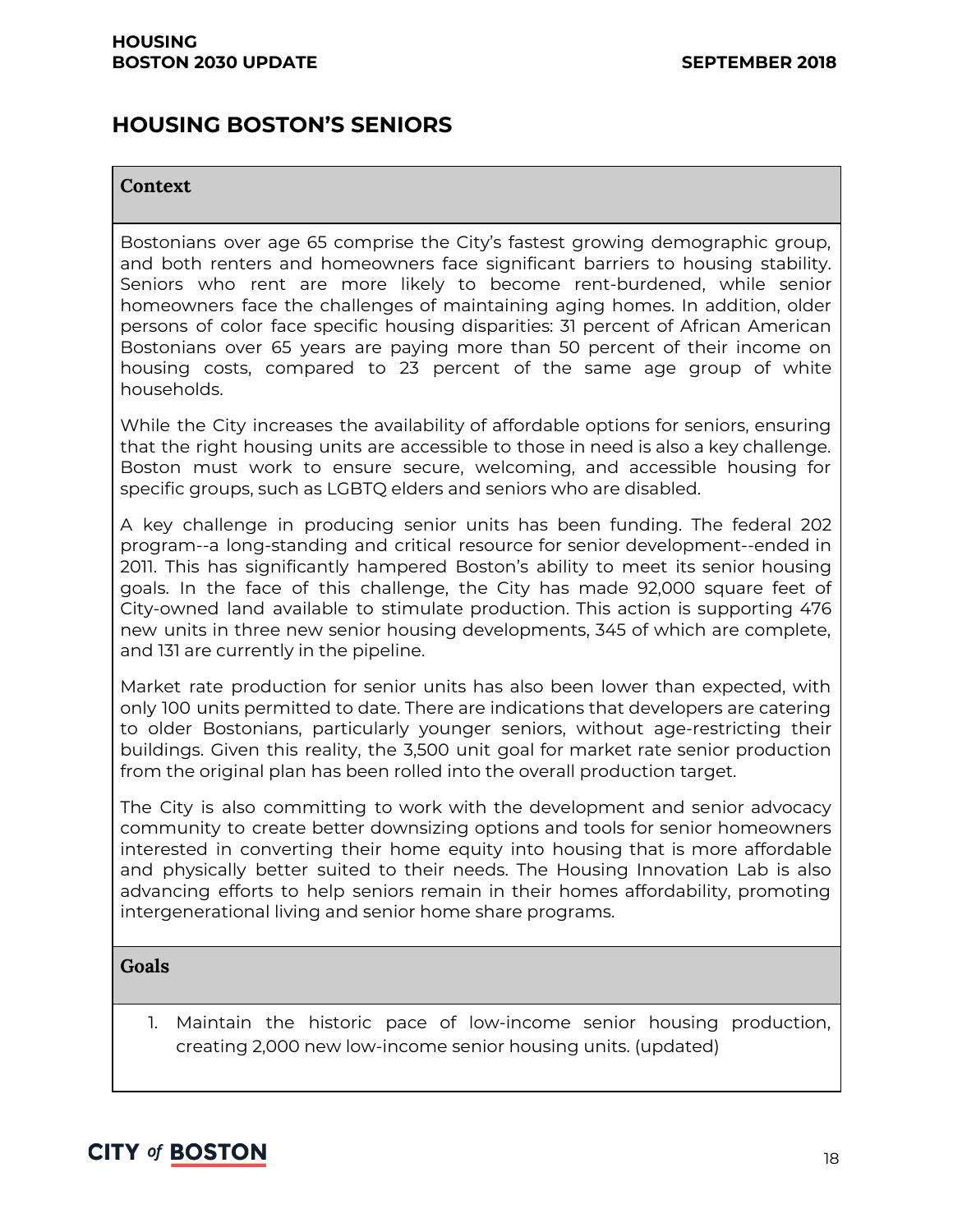### **HOUSING BOSTON'S SENIORS**

#### **Context**

Bostonians over age 65 comprise the City's fastest growing demographic group, and both renters and homeowners face significant barriers to housing stability. Seniors who rent are more likely to become rent-burdened, while senior homeowners face the challenges of maintaining aging homes. In addition, older persons of color face specific housing disparities: 31 percent of African American Bostonians over 65 years are paying more than 50 percent of their income on housing costs, compared to 23 percent of the same age group of white households.

While the City increases the availability of affordable options for seniors, ensuring that the right housing units are accessible to those in need is also a key challenge. Boston must work to ensure secure, welcoming, and accessible housing for specific groups, such as LGBTQ elders and seniors who are disabled.

A key challenge in producing senior units has been funding. The federal 202 program--a long-standing and critical resource for senior development--ended in 2011. This has significantly hampered Boston's ability to meet its senior housing goals. In the face of this challenge, the City has made 92,000 square feet of City-owned land available to stimulate production. This action is supporting 476 new units in three new senior housing developments, 345 of which are complete, and 131 are currently in the pipeline.

Market rate production for senior units has also been lower than expected, with only 100 units permitted to date. There are indications that developers are catering to older Bostonians, particularly younger seniors, without age-restricting their buildings. Given this reality, the 3,500 unit goal for market rate senior production from the original plan has been rolled into the overall production target.

The City is also committing to work with the development and senior advocacy community to create better downsizing options and tools for senior homeowners interested in converting their home equity into housing that is more affordable and physically better suited to their needs. The Housing Innovation Lab is also advancing efforts to help seniors remain in their homes affordability, promoting intergenerational living and senior home share programs.

#### **Goals**

1. Maintain the historic pace of low-income senior housing production, creating 2,000 new low-income senior housing units. (updated)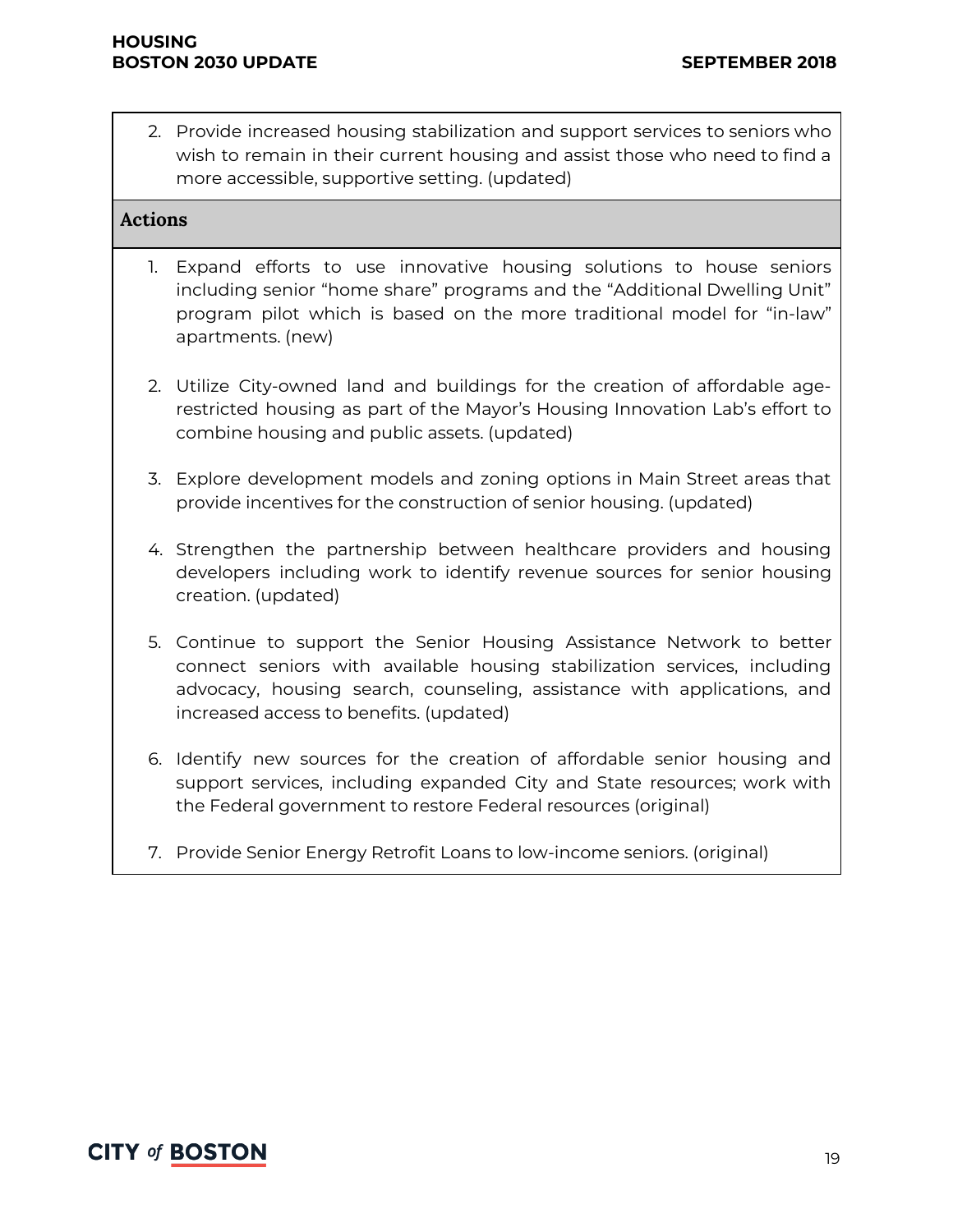2. Provide increased housing stabilization and support services to seniors who wish to remain in their current housing and assist those who need to find a more accessible, supportive setting. (updated)

#### **Actions**

- 1. Expand efforts to use innovative housing solutions to house seniors including senior "home share" programs and the "Additional Dwelling Unit" program pilot which is based on the more traditional model for "in-law" apartments. (new)
- 2. Utilize City-owned land and buildings for the creation of affordable agerestricted housing as part of the Mayor's Housing Innovation Lab's effort to combine housing and public assets. (updated)
- 3. Explore development models and zoning options in Main Street areas that provide incentives for the construction of senior housing. (updated)
- 4. Strengthen the partnership between healthcare providers and housing developers including work to identify revenue sources for senior housing creation. (updated)
- 5. Continue to support the Senior Housing Assistance Network to better connect seniors with available housing stabilization services, including advocacy, housing search, counseling, assistance with applications, and increased access to benefits. (updated)
- 6. Identify new sources for the creation of affordable senior housing and support services, including expanded City and State resources; work with the Federal government to restore Federal resources (original)
- 7. Provide Senior Energy Retrofit Loans to low-income seniors. (original)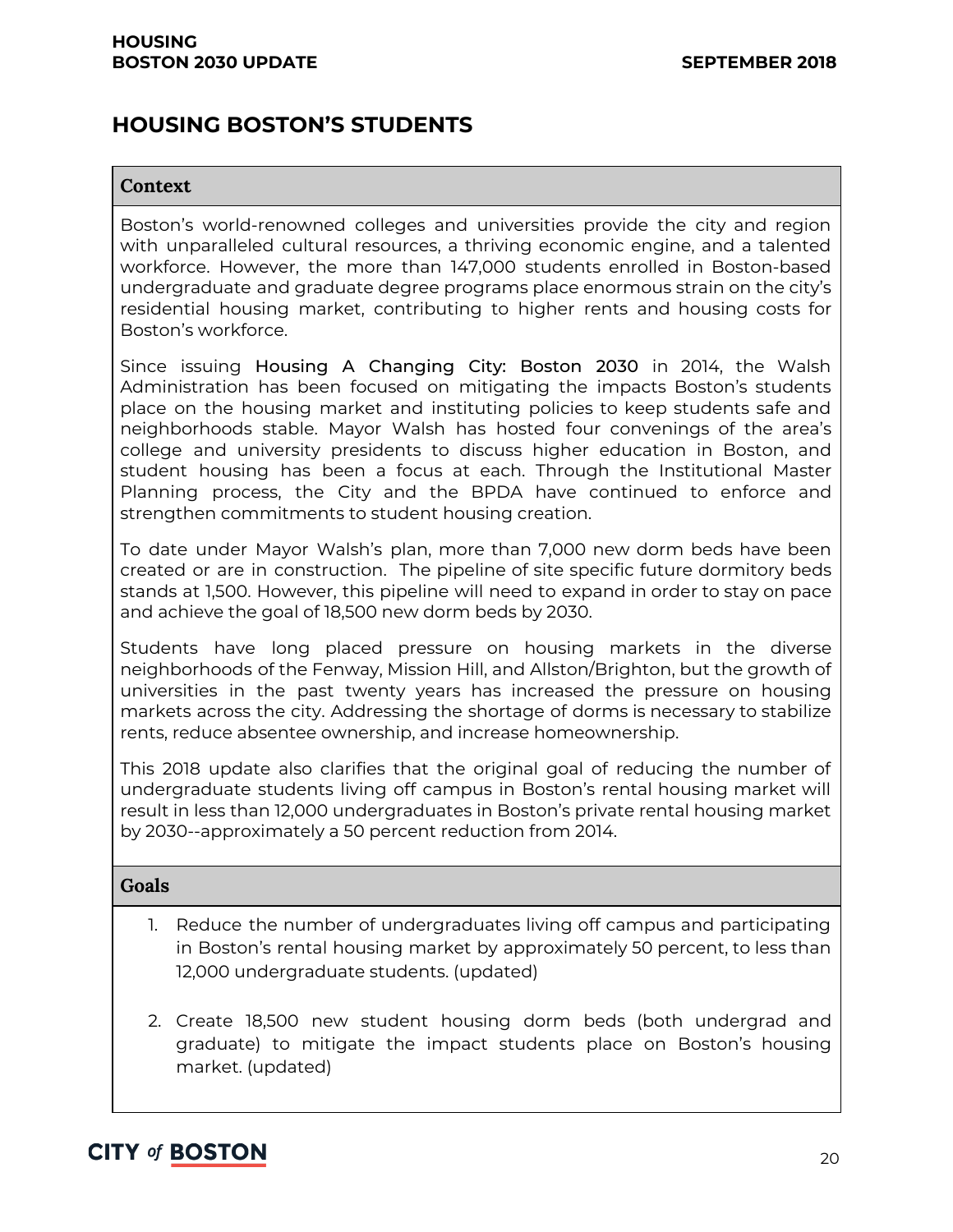### **HOUSING BOSTON'S STUDENTS**

#### **Context**

Boston's world-renowned colleges and universities provide the city and region with unparalleled cultural resources, a thriving economic engine, and a talented workforce. However, the more than 147,000 students enrolled in Boston-based undergraduate and graduate degree programs place enormous strain on the city's residential housing market, contributing to higher rents and housing costs for Boston's workforce.

Since issuing Housing A Changing City: Boston 2030 in 2014, the Walsh Administration has been focused on mitigating the impacts Boston's students place on the housing market and instituting policies to keep students safe and neighborhoods stable. Mayor Walsh has hosted four convenings of the area's college and university presidents to discuss higher education in Boston, and student housing has been a focus at each. Through the Institutional Master Planning process, the City and the BPDA have continued to enforce and strengthen commitments to student housing creation.

To date under Mayor Walsh's plan, more than 7,000 new dorm beds have been created or are in construction. The pipeline of site specific future dormitory beds stands at 1,500. However, this pipeline will need to expand in order to stay on pace and achieve the goal of 18,500 new dorm beds by 2030.

Students have long placed pressure on housing markets in the diverse neighborhoods of the Fenway, Mission Hill, and Allston/Brighton, but the growth of universities in the past twenty years has increased the pressure on housing markets across the city. Addressing the shortage of dorms is necessary to stabilize rents, reduce absentee ownership, and increase homeownership.

This 2018 update also clarifies that the original goal of reducing the number of undergraduate students living off campus in Boston's rental housing market will result in less than 12,000 undergraduates in Boston's private rental housing market by 2030--approximately a 50 percent reduction from 2014.

#### **Goals**

- 1. Reduce the number of undergraduates living off campus and participating in Boston's rental housing market by approximately 50 percent, to less than 12,000 undergraduate students. (updated)
- 2. Create 18,500 new student housing dorm beds (both undergrad and graduate) to mitigate the impact students place on Boston's housing market. (updated)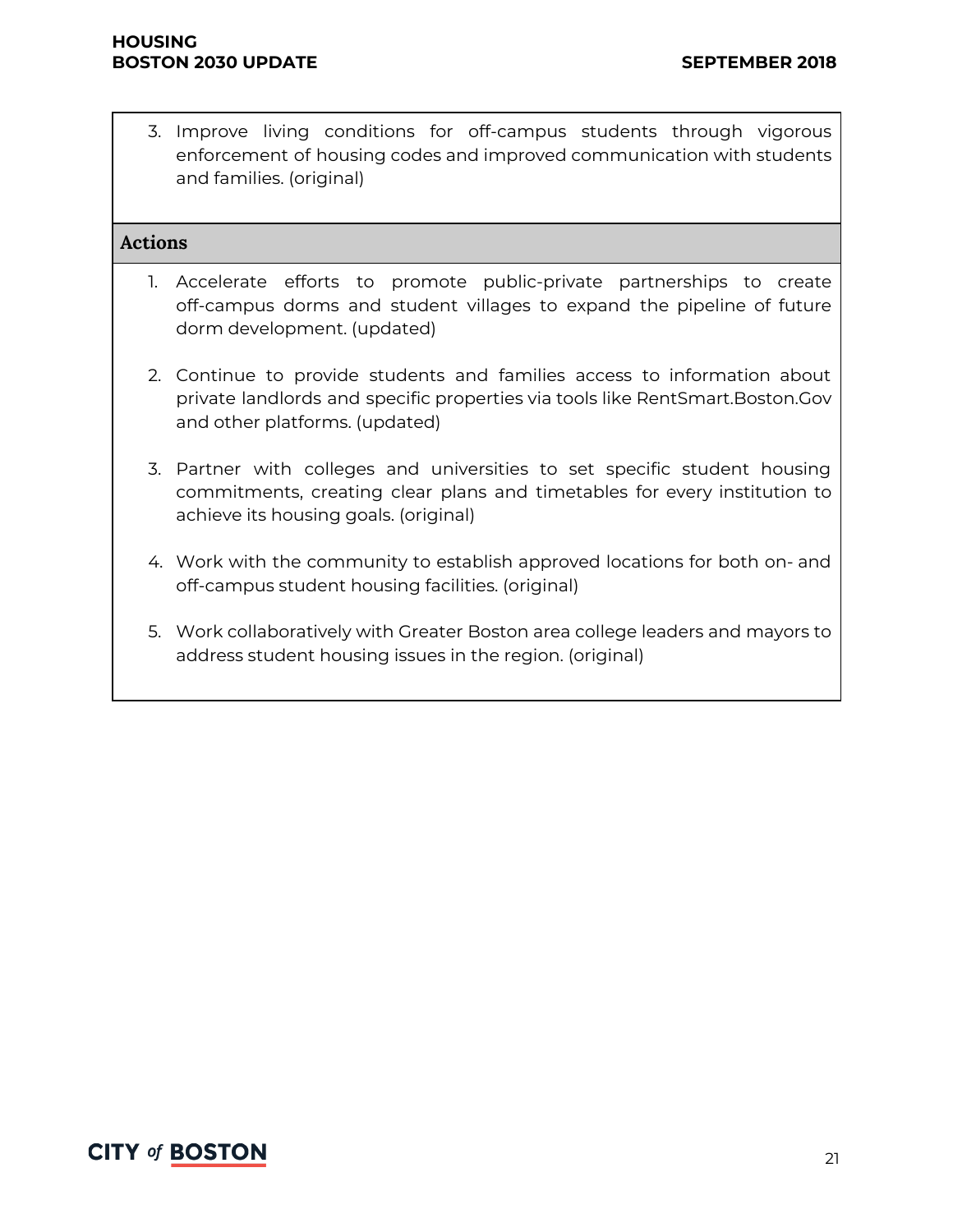3. Improve living conditions for off-campus students through vigorous enforcement of housing codes and improved communication with students and families. (original)

#### **Actions**

- 1. Accelerate efforts to promote public-private partnerships to create off-campus dorms and student villages to expand the pipeline of future dorm development. (updated)
- 2. Continue to provide students and families access to information about private landlords and specific properties via tools like RentSmart.Boston.Gov and other platforms. (updated)
- 3. Partner with colleges and universities to set specific student housing commitments, creating clear plans and timetables for every institution to achieve its housing goals. (original)
- 4. Work with the community to establish approved locations for both on- and off-campus student housing facilities. (original)
- 5. Work collaboratively with Greater Boston area college leaders and mayors to address student housing issues in the region. (original)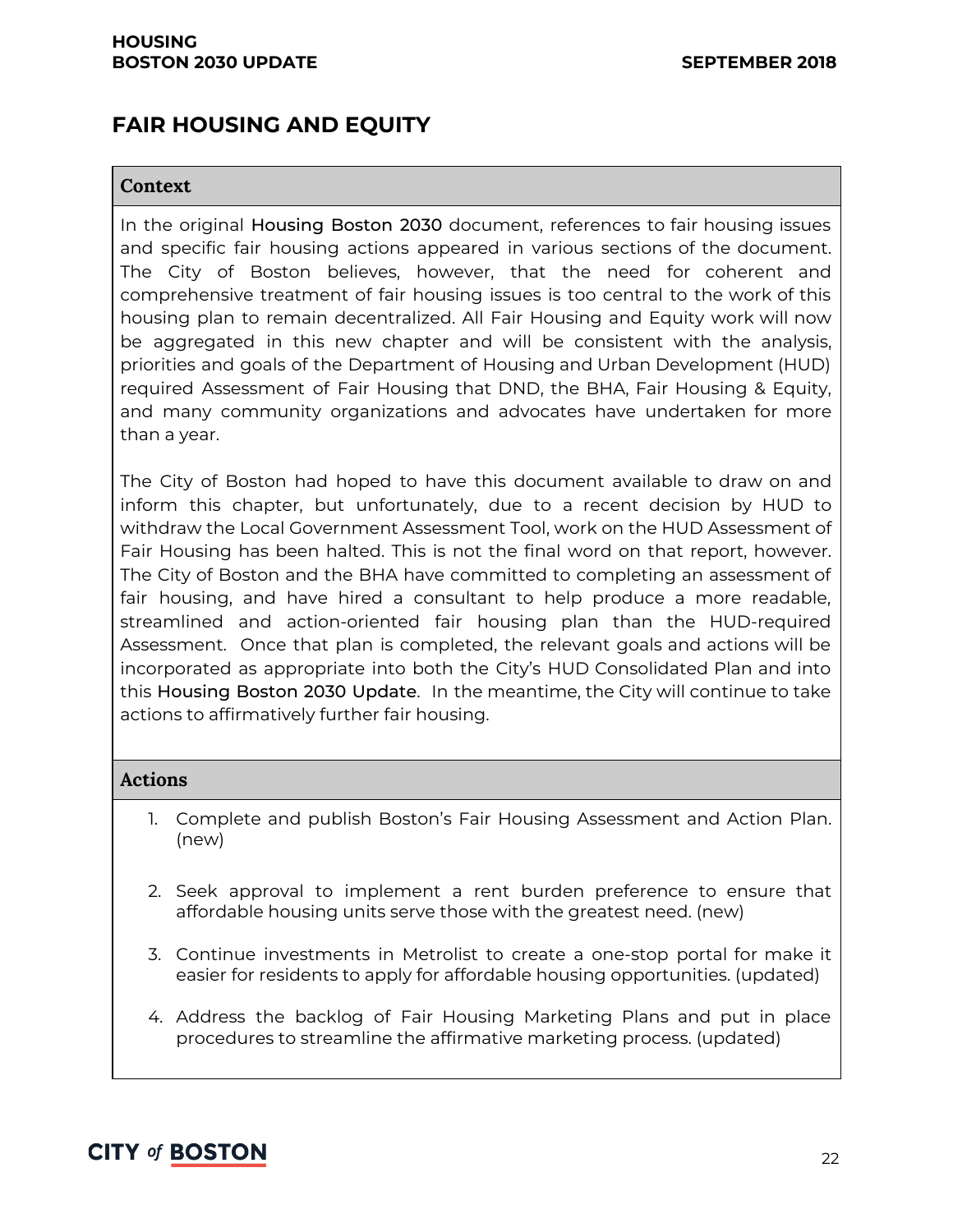# **FAIR HOUSING AND EQUITY**

#### **Context**

In the original Housing Boston 2030 document, references to fair housing issues and specific fair housing actions appeared in various sections of the document. The City of Boston believes, however, that the need for coherent and comprehensive treatment of fair housing issues is too central to the work of this housing plan to remain decentralized. All Fair Housing and Equity work will now be aggregated in this new chapter and will be consistent with the analysis, priorities and goals of the Department of Housing and Urban Development (HUD) required Assessment of Fair Housing that DND, the BHA, Fair Housing & Equity, and many community organizations and advocates have undertaken for more than a year.

The City of Boston had hoped to have this document available to draw on and inform this chapter, but unfortunately, due to a recent decision by HUD to withdraw the Local Government Assessment Tool, work on the HUD Assessment of Fair Housing has been halted. This is not the final word on that report, however. The City of Boston and the BHA have committed to completing an assessment of fair housing, and have hired a consultant to help produce a more readable, streamlined and action-oriented fair housing plan than the HUD-required Assessment. Once that plan is completed, the relevant goals and actions will be incorporated as appropriate into both the City's HUD Consolidated Plan and into this Housing Boston 2030 Update. In the meantime, the City will continue to take actions to affirmatively further fair housing.

#### **Actions**

- 1. Complete and publish Boston's Fair Housing Assessment and Action Plan. (new)
- 2. Seek approval to implement a rent burden preference to ensure that affordable housing units serve those with the greatest need. (new)
- 3. Continue investments in Metrolist to create a one-stop portal for make it easier for residents to apply for affordable housing opportunities. (updated)
- 4. Address the backlog of Fair Housing Marketing Plans and put in place procedures to streamline the affirmative marketing process. (updated)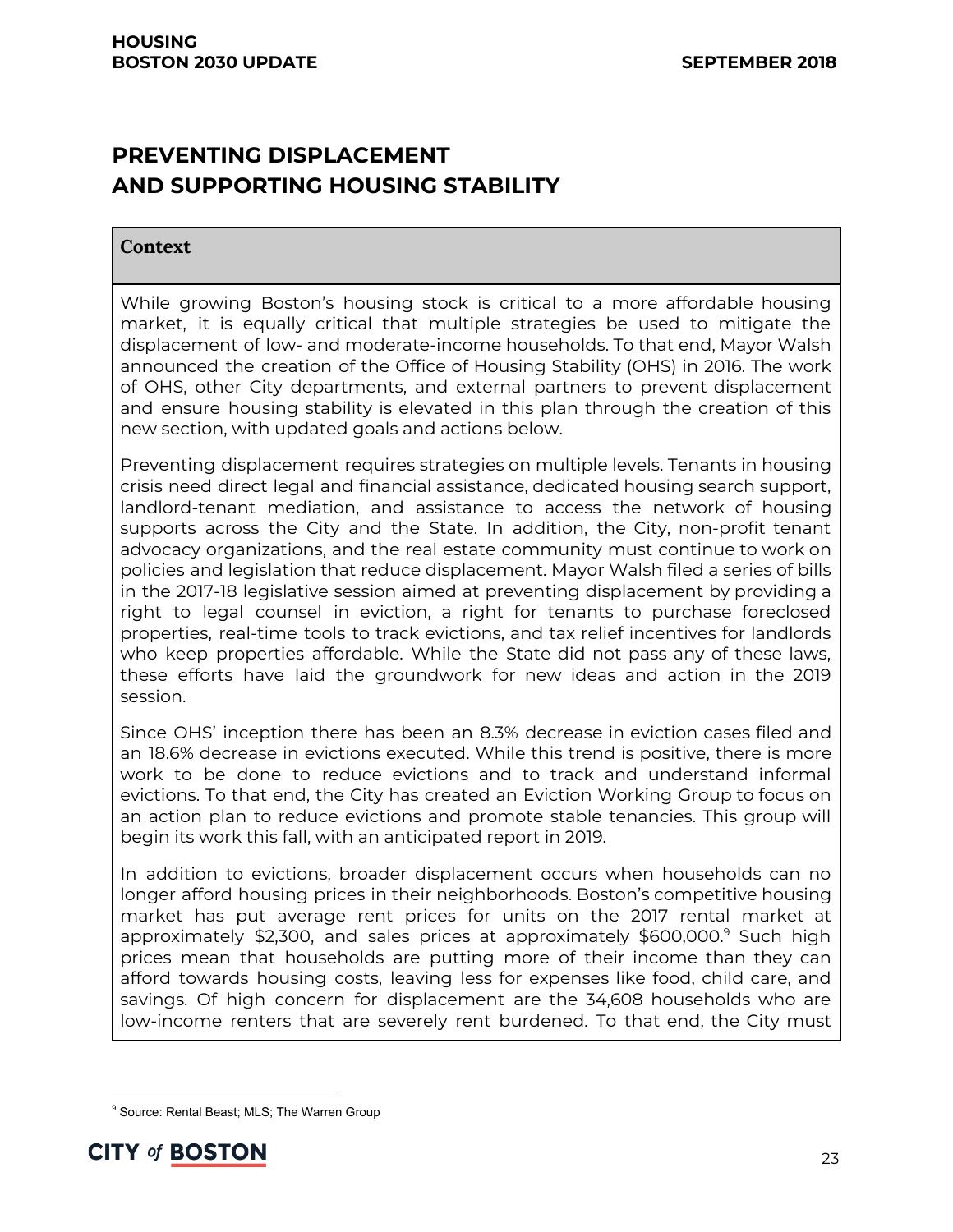# **PREVENTING DISPLACEMENT AND SUPPORTING HOUSING STABILITY**

#### **Context**

While growing Boston's housing stock is critical to a more affordable housing market, it is equally critical that multiple strategies be used to mitigate the displacement of low- and moderate-income households. To that end, Mayor Walsh announced the creation of the Office of Housing Stability (OHS) in 2016. The work of OHS, other City departments, and external partners to prevent displacement and ensure housing stability is elevated in this plan through the creation of this new section, with updated goals and actions below.

Preventing displacement requires strategies on multiple levels. Tenants in housing crisis need direct legal and financial assistance, dedicated housing search support, landlord-tenant mediation, and assistance to access the network of housing supports across the City and the State. In addition, the City, non-profit tenant advocacy organizations, and the real estate community must continue to work on policies and legislation that reduce displacement. Mayor Walsh filed a series of bills in the 2017-18 legislative session aimed at preventing displacement by providing a right to legal counsel in eviction, a right for tenants to purchase foreclosed properties, real-time tools to track evictions, and tax relief incentives for landlords who keep properties affordable. While the State did not pass any of these laws, these efforts have laid the groundwork for new ideas and action in the 2019 session.

Since OHS' inception there has been an 8.3% decrease in eviction cases filed and an 18.6% decrease in evictions executed. While this trend is positive, there is more work to be done to reduce evictions and to track and understand informal evictions. To that end, the City has created an Eviction Working Group to focus on an action plan to reduce evictions and promote stable tenancies. This group will begin its work this fall, with an anticipated report in 2019.

In addition to evictions, broader displacement occurs when households can no longer afford housing prices in their neighborhoods. Boston's competitive housing market has put average rent prices for units on the 2017 rental market at approximately \$2,300, and sales prices at approximately \$600,000.<sup>9</sup> Such high prices mean that households are putting more of their income than they can afford towards housing costs, leaving less for expenses like food, child care, and savings. Of high concern for displacement are the 34,608 households who are low-income renters that are severely rent burdened. To that end, the City must

<sup>&</sup>lt;sup>9</sup> Source: Rental Beast; MLS; The Warren Group

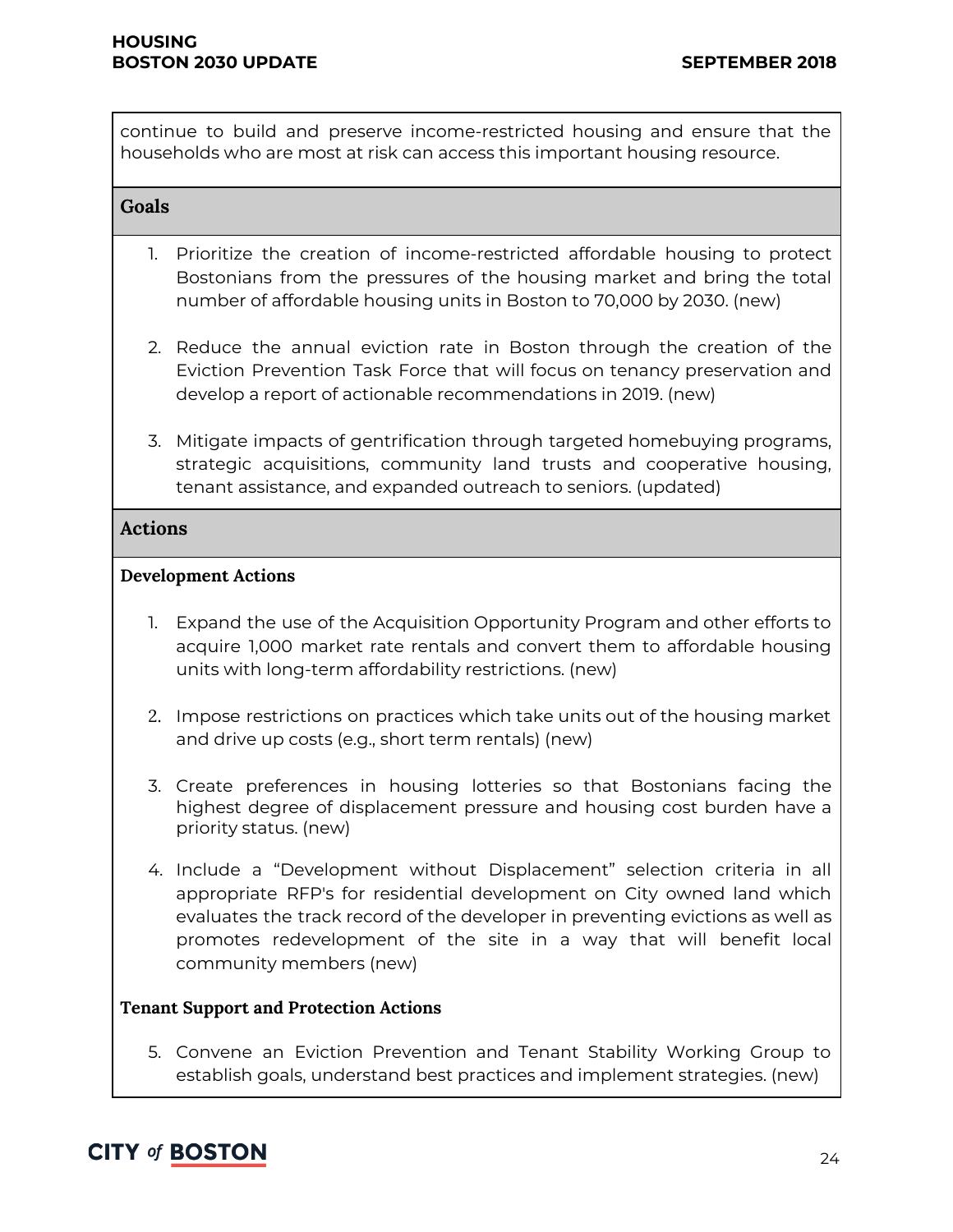continue to build and preserve income-restricted housing and ensure that the households who are most at risk can access this important housing resource.

#### **Goals**

- 1. Prioritize the creation of income-restricted affordable housing to protect Bostonians from the pressures of the housing market and bring the total number of affordable housing units in Boston to 70,000 by 2030. (new)
- 2. Reduce the annual eviction rate in Boston through the creation of the Eviction Prevention Task Force that will focus on tenancy preservation and develop a report of actionable recommendations in 2019. (new)
- 3. Mitigate impacts of gentrification through targeted homebuying programs, strategic acquisitions, community land trusts and cooperative housing, tenant assistance, and expanded outreach to seniors. (updated)

#### **Actions**

#### **Development Actions**

- 1. Expand the use of the Acquisition Opportunity Program and other efforts to acquire 1,000 market rate rentals and convert them to affordable housing units with long-term affordability restrictions. (new)
- 2. Impose restrictions on practices which take units out of the housing market and drive up costs (e.g., short term rentals) (new)
- 3. Create preferences in housing lotteries so that Bostonians facing the highest degree of displacement pressure and housing cost burden have a priority status. (new)
- 4. Include a "Development without Displacement" selection criteria in all appropriate RFP's for residential development on City owned land which evaluates the track record of the developer in preventing evictions as well as promotes redevelopment of the site in a way that will benefit local community members (new)

#### **Tenant Support and Protection Actions**

5. Convene an Eviction Prevention and Tenant Stability Working Group to establish goals, understand best practices and implement strategies. (new)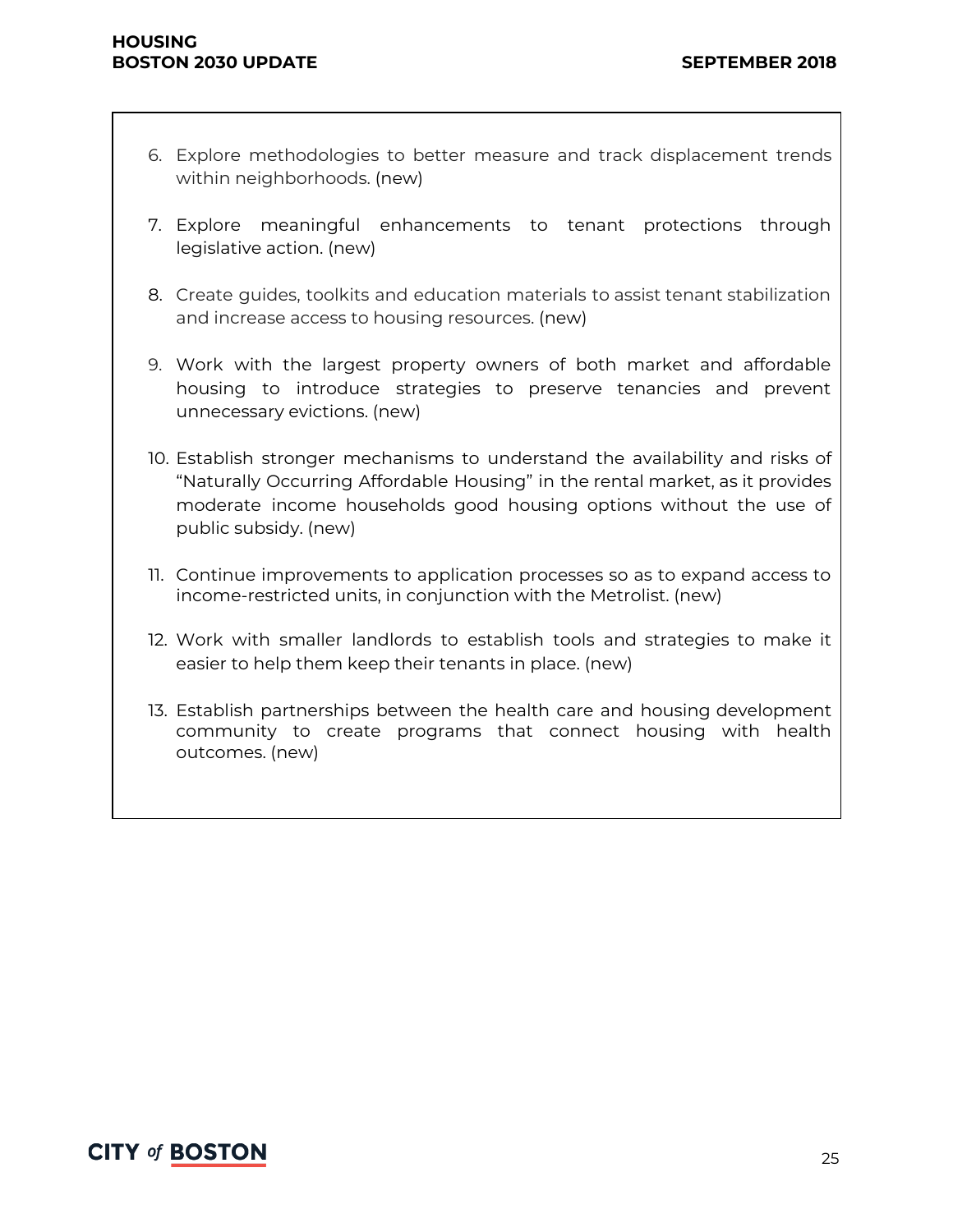- 6. Explore methodologies to better measure and track displacement trends within neighborhoods. (new)
- 7. Explore meaningful enhancements to tenant protections through legislative action. (new)
- 8. Create guides, toolkits and education materials to assist tenant stabilization and increase access to housing resources. (new)
- 9. Work with the largest property owners of both market and affordable housing to introduce strategies to preserve tenancies and prevent unnecessary evictions. (new)
- 10. Establish stronger mechanisms to understand the availability and risks of "Naturally Occurring Affordable Housing" in the rental market, as it provides moderate income households good housing options without the use of public subsidy. (new)
- 11. Continue improvements to application processes so as to expand access to income-restricted units, in conjunction with the Metrolist. (new)
- 12. Work with smaller landlords to establish tools and strategies to make it easier to help them keep their tenants in place. (new)
- 13. Establish partnerships between the health care and housing development community to create programs that connect housing with health outcomes. (new)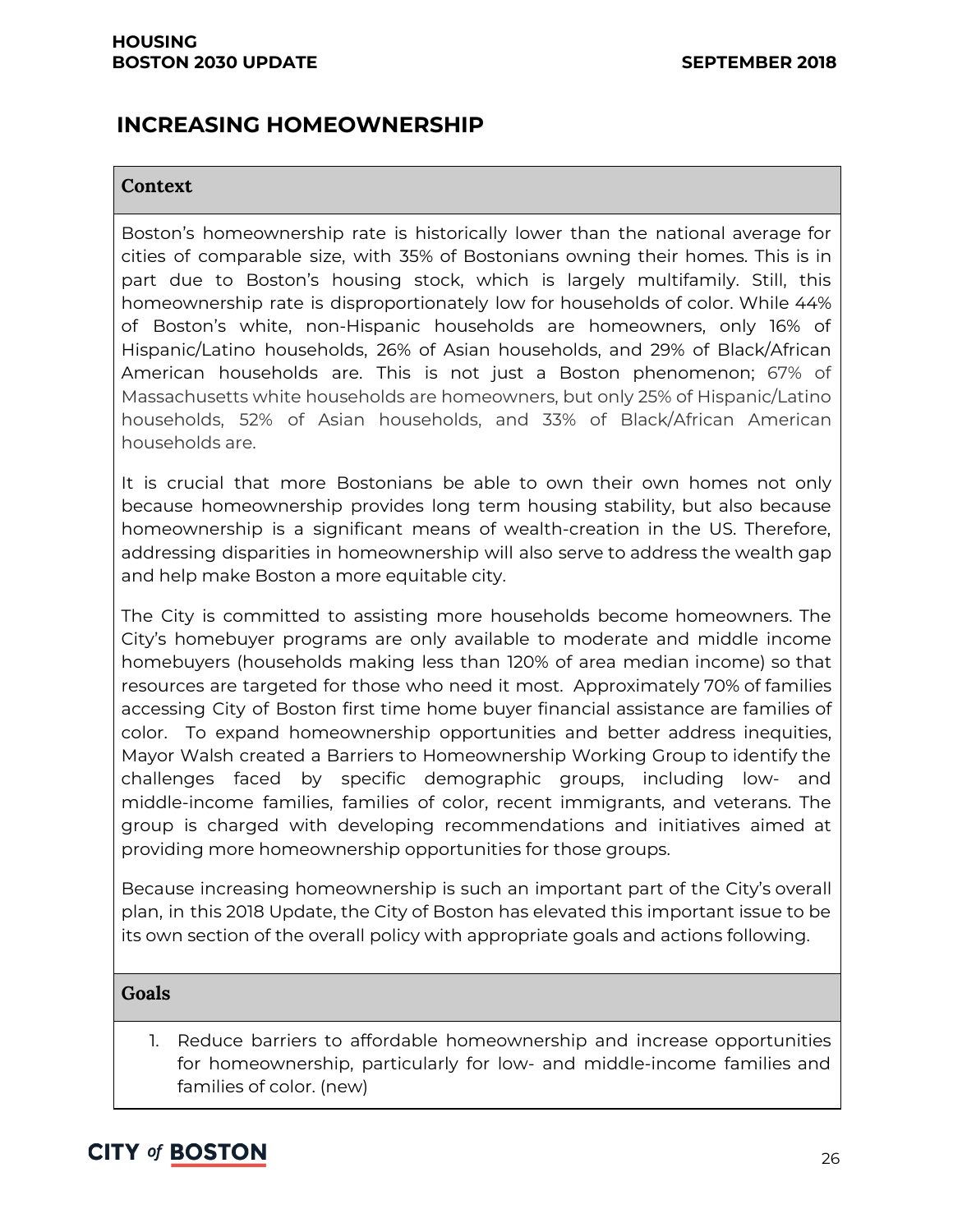### **INCREASING HOMEOWNERSHIP**

#### **Context**

Boston's homeownership rate is historically lower than the national average for cities of comparable size, with 35% of Bostonians owning their homes. This is in part due to Boston's housing stock, which is largely multifamily. Still, this homeownership rate is disproportionately low for households of color. While 44% of Boston's white, non-Hispanic households are homeowners, only 16% of Hispanic/Latino households, 26% of Asian households, and 29% of Black/African American households are. This is not just a Boston phenomenon; 67% of Massachusetts white households are homeowners, but only 25% of Hispanic/Latino households, 52% of Asian households, and 33% of Black/African American households are.

It is crucial that more Bostonians be able to own their own homes not only because homeownership provides long term housing stability, but also because homeownership is a significant means of wealth-creation in the US. Therefore, addressing disparities in homeownership will also serve to address the wealth gap and help make Boston a more equitable city.

The City is committed to assisting more households become homeowners. The City's homebuyer programs are only available to moderate and middle income homebuyers (households making less than 120% of area median income) so that resources are targeted for those who need it most. Approximately 70% of families accessing City of Boston first time home buyer financial assistance are families of color. To expand homeownership opportunities and better address inequities, Mayor Walsh created a Barriers to Homeownership Working Group to identify the challenges faced by specific demographic groups, including low- and middle-income families, families of color, recent immigrants, and veterans. The group is charged with developing recommendations and initiatives aimed at providing more homeownership opportunities for those groups.

Because increasing homeownership is such an important part of the City's overall plan, in this 2018 Update, the City of Boston has elevated this important issue to be its own section of the overall policy with appropriate goals and actions following.

#### **Goals**

1. Reduce barriers to affordable homeownership and increase opportunities for homeownership, particularly for low- and middle-income families and families of color. (new)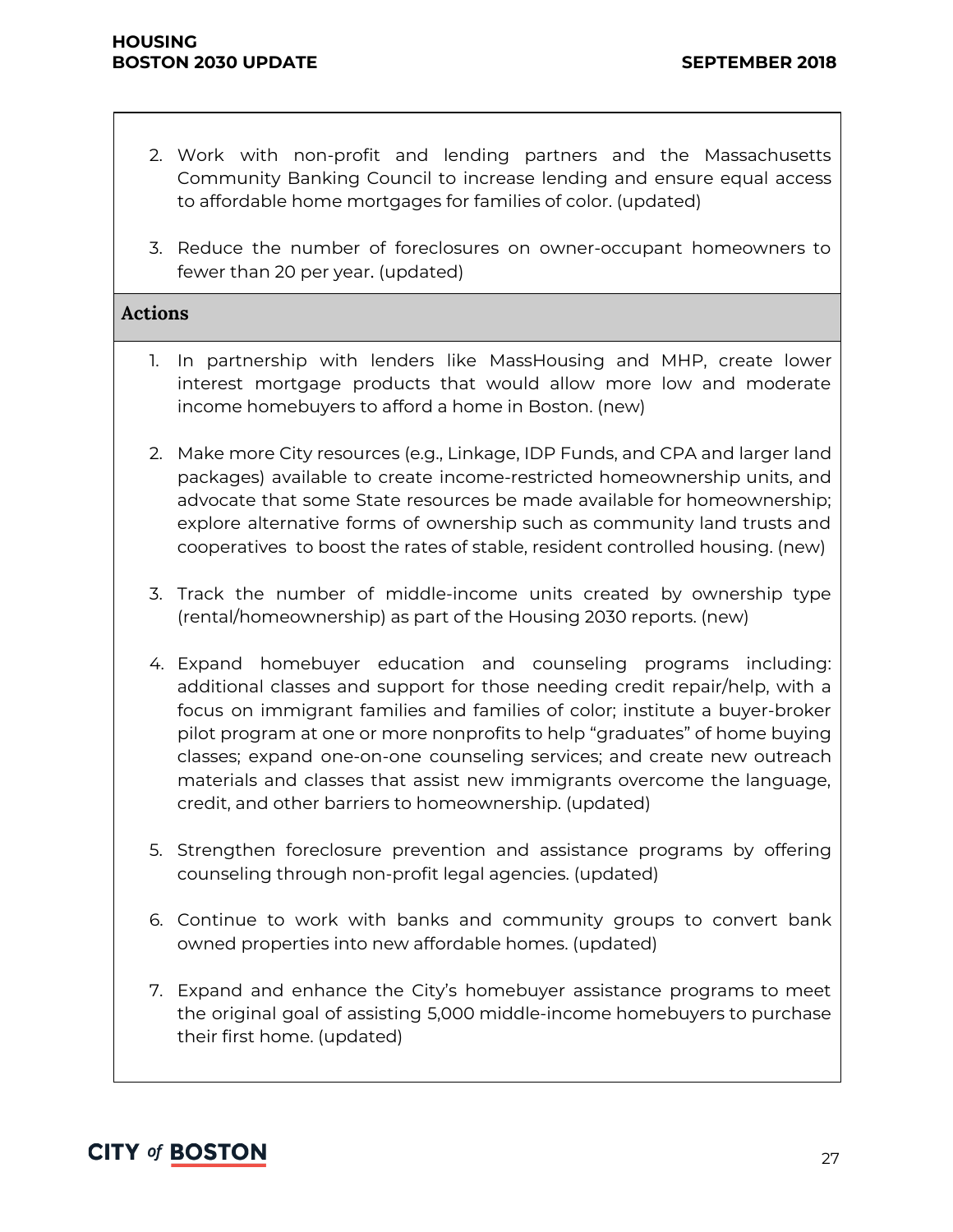- 2. Work with non-profit and lending partners and the Massachusetts Community Banking Council to increase lending and ensure equal access to affordable home mortgages for families of color. (updated)
- 3. Reduce the number of foreclosures on owner-occupant homeowners to fewer than 20 per year. (updated)

#### **Actions**

- 1. In partnership with lenders like MassHousing and MHP, create lower interest mortgage products that would allow more low and moderate income homebuyers to afford a home in Boston. (new)
- 2. Make more City resources (e.g., Linkage, IDP Funds, and CPA and larger land packages) available to create income-restricted homeownership units, and advocate that some State resources be made available for homeownership; explore alternative forms of ownership such as community land trusts and cooperatives to boost the rates of stable, resident controlled housing. (new)
- 3. Track the number of middle-income units created by ownership type (rental/homeownership) as part of the Housing 2030 reports. (new)
- 4. Expand homebuyer education and counseling programs including: additional classes and support for those needing credit repair/help, with a focus on immigrant families and families of color; institute a buyer-broker pilot program at one or more nonprofits to help "graduates" of home buying classes; expand one-on-one counseling services; and create new outreach materials and classes that assist new immigrants overcome the language, credit, and other barriers to homeownership. (updated)
- 5. Strengthen foreclosure prevention and assistance programs by offering counseling through non-profit legal agencies. (updated)
- 6. Continue to work with banks and community groups to convert bank owned properties into new affordable homes. (updated)
- 7. Expand and enhance the City's homebuyer assistance programs to meet the original goal of assisting 5,000 middle-income homebuyers to purchase their first home. (updated)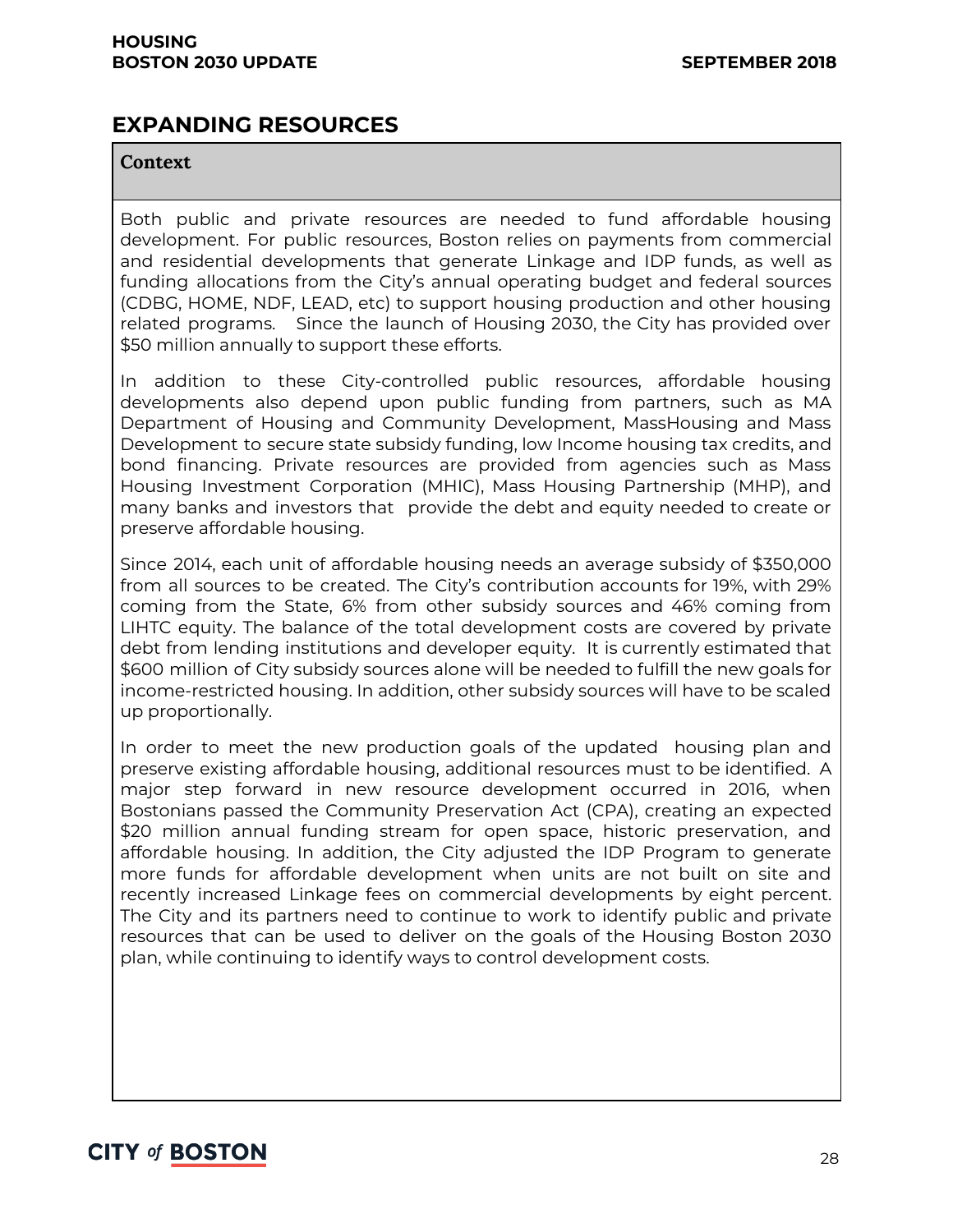### **EXPANDING RESOURCES**

#### **Context**

Both public and private resources are needed to fund affordable housing development. For public resources, Boston relies on payments from commercial and residential developments that generate Linkage and IDP funds, as well as funding allocations from the City's annual operating budget and federal sources (CDBG, HOME, NDF, LEAD, etc) to support housing production and other housing related programs. Since the launch of Housing 2030, the City has provided over \$50 million annually to support these efforts.

In addition to these City-controlled public resources, affordable housing developments also depend upon public funding from partners, such as MA Department of Housing and Community Development, MassHousing and Mass Development to secure state subsidy funding, low Income housing tax credits, and bond financing. Private resources are provided from agencies such as Mass Housing Investment Corporation (MHIC), Mass Housing Partnership (MHP), and many banks and investors that provide the debt and equity needed to create or preserve affordable housing.

Since 2014, each unit of affordable housing needs an average subsidy of \$350,000 from all sources to be created. The City's contribution accounts for 19%, with 29% coming from the State, 6% from other subsidy sources and 46% coming from LIHTC equity. The balance of the total development costs are covered by private debt from lending institutions and developer equity. It is currently estimated that \$600 million of City subsidy sources alone will be needed to fulfill the new goals for income-restricted housing. In addition, other subsidy sources will have to be scaled up proportionally.

In order to meet the new production goals of the updated housing plan and preserve existing affordable housing, additional resources must to be identified. A major step forward in new resource development occurred in 2016, when Bostonians passed the Community Preservation Act (CPA), creating an expected \$20 million annual funding stream for open space, historic preservation, and affordable housing. In addition, the City adjusted the IDP Program to generate more funds for affordable development when units are not built on site and recently increased Linkage fees on commercial developments by eight percent. The City and its partners need to continue to work to identify public and private resources that can be used to deliver on the goals of the Housing Boston 2030 plan, while continuing to identify ways to control development costs.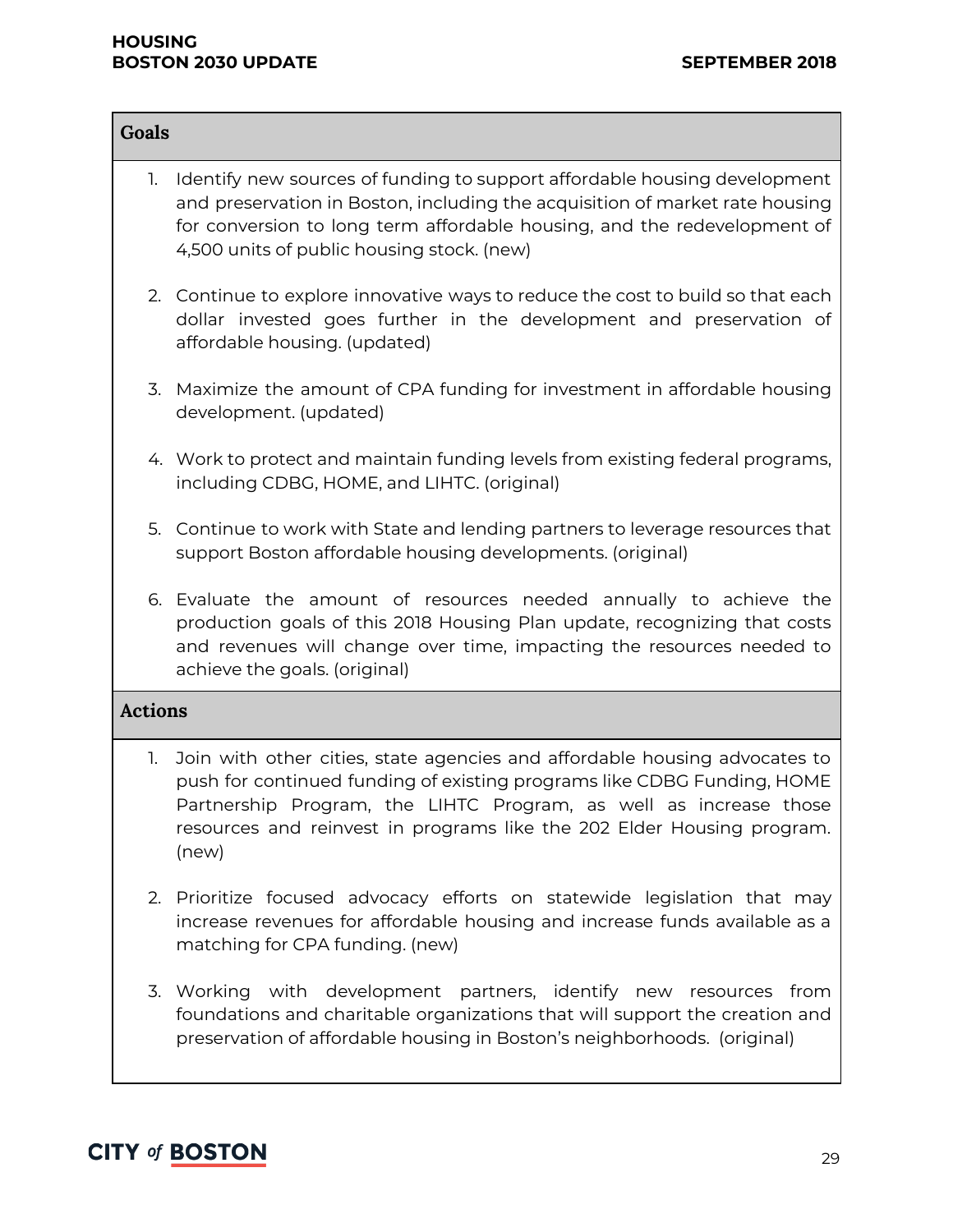#### **HOUSING BOSTON 2030 UPDATE SEPTEMBER 2018**

| Goals          |                                                                                                                                                                                                                                                                                                               |
|----------------|---------------------------------------------------------------------------------------------------------------------------------------------------------------------------------------------------------------------------------------------------------------------------------------------------------------|
| 1.             | Identify new sources of funding to support affordable housing development<br>and preservation in Boston, including the acquisition of market rate housing<br>for conversion to long term affordable housing, and the redevelopment of<br>4,500 units of public housing stock. (new)                           |
|                | 2. Continue to explore innovative ways to reduce the cost to build so that each<br>dollar invested goes further in the development and preservation of<br>affordable housing. (updated)                                                                                                                       |
|                | 3. Maximize the amount of CPA funding for investment in affordable housing<br>development. (updated)                                                                                                                                                                                                          |
|                | 4. Work to protect and maintain funding levels from existing federal programs,<br>including CDBG, HOME, and LIHTC. (original)                                                                                                                                                                                 |
|                | 5. Continue to work with State and lending partners to leverage resources that<br>support Boston affordable housing developments. (original)                                                                                                                                                                  |
|                | 6. Evaluate the amount of resources needed annually to achieve the<br>production goals of this 2018 Housing Plan update, recognizing that costs<br>and revenues will change over time, impacting the resources needed to<br>achieve the goals. (original)                                                     |
| <b>Actions</b> |                                                                                                                                                                                                                                                                                                               |
| 1.             | Join with other cities, state agencies and affordable housing advocates to<br>push for continued funding of existing programs like CDBG Funding, HOME<br>Partnership Program, the LIHTC Program, as well as increase those<br>resources and reinvest in programs like the 202 Elder Housing program.<br>(new) |
|                | 2. Prioritize focused advocacy efforts on statewide legislation that may<br>increase revenues for affordable housing and increase funds available as a<br>matching for CPA funding. (new)                                                                                                                     |
|                | 3. Working with development partners, identify new resources from<br>foundations and charitable organizations that will support the creation and<br>preservation of affordable housing in Boston's neighborhoods. (original)                                                                                  |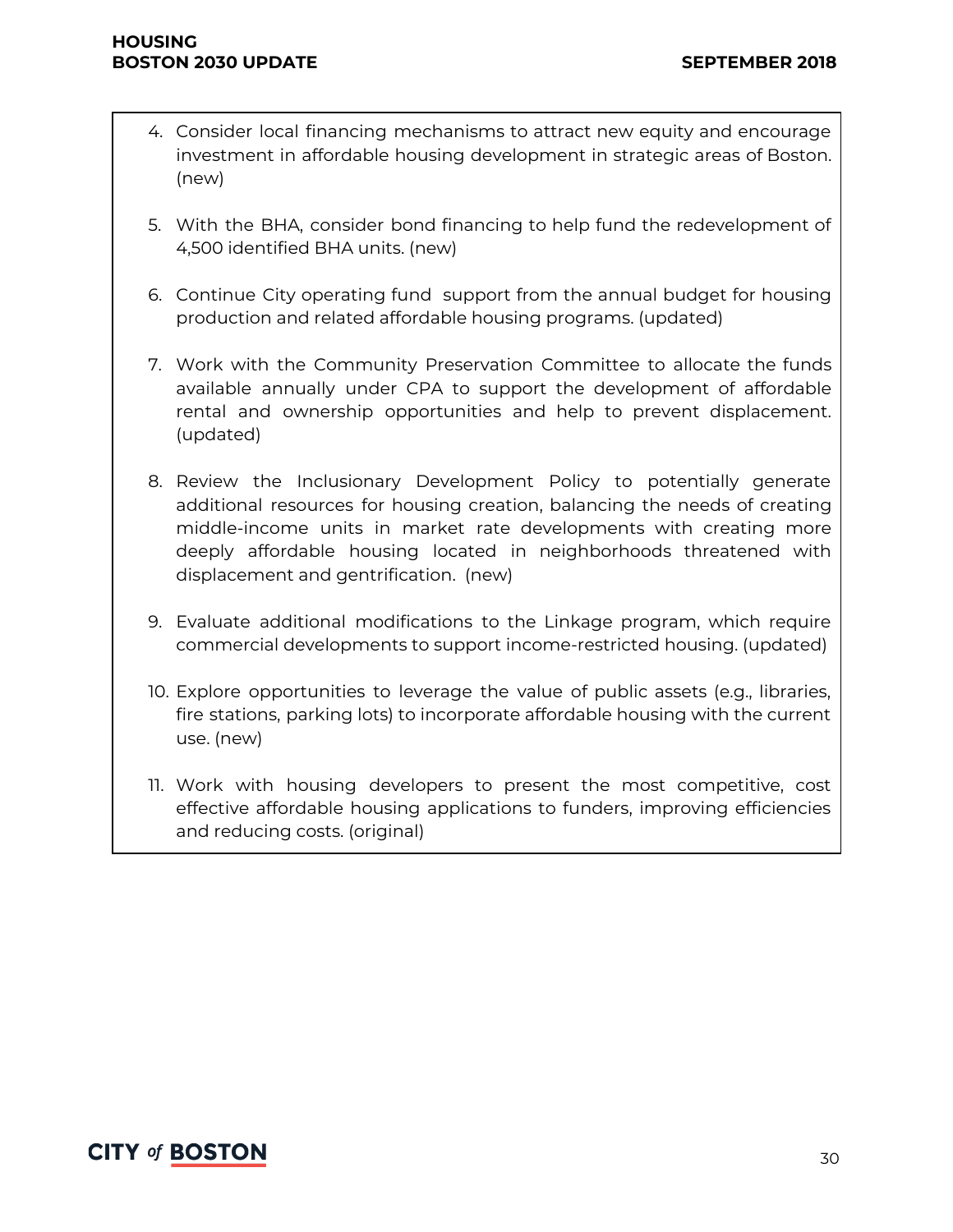- 4. Consider local financing mechanisms to attract new equity and encourage investment in affordable housing development in strategic areas of Boston. (new)
- 5. With the BHA, consider bond financing to help fund the redevelopment of 4,500 identified BHA units. (new)
- 6. Continue City operating fund support from the annual budget for housing production and related affordable housing programs. (updated)
- 7. Work with the Community Preservation Committee to allocate the funds available annually under CPA to support the development of affordable rental and ownership opportunities and help to prevent displacement. (updated)
- 8. Review the Inclusionary Development Policy to potentially generate additional resources for housing creation, balancing the needs of creating middle-income units in market rate developments with creating more deeply affordable housing located in neighborhoods threatened with displacement and gentrification. (new)
- 9. Evaluate additional modifications to the Linkage program, which require commercial developments to support income-restricted housing. (updated)
- 10. Explore opportunities to leverage the value of public assets (e.g., libraries, fire stations, parking lots) to incorporate affordable housing with the current use. (new)
- 11. Work with housing developers to present the most competitive, cost effective affordable housing applications to funders, improving efficiencies and reducing costs. (original)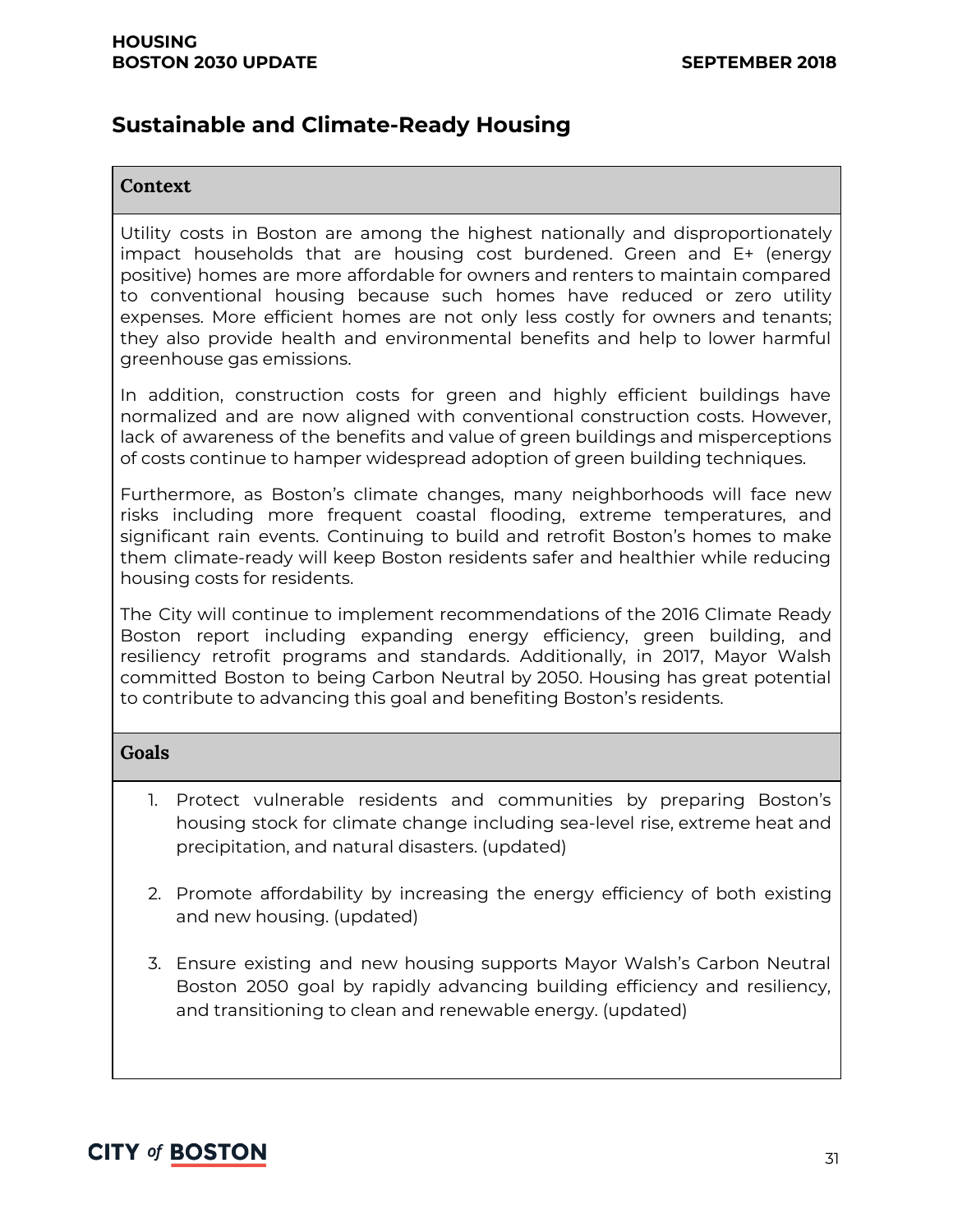### **Sustainable and Climate-Ready Housing**

#### **Context**

Utility costs in Boston are among the highest nationally and disproportionately impact households that are housing cost burdened. Green and E+ (energy positive) homes are more affordable for owners and renters to maintain compared to conventional housing because such homes have reduced or zero utility expenses. More efficient homes are not only less costly for owners and tenants; they also provide health and environmental benefits and help to lower harmful greenhouse gas emissions.

In addition, construction costs for green and highly efficient buildings have normalized and are now aligned with conventional construction costs. However, lack of awareness of the benefits and value of green buildings and misperceptions of costs continue to hamper widespread adoption of green building techniques.

Furthermore, as Boston's climate changes, many neighborhoods will face new risks including more frequent coastal flooding, extreme temperatures, and significant rain events. Continuing to build and retrofit Boston's homes to make them climate-ready will keep Boston residents safer and healthier while reducing housing costs for residents.

The City will continue to implement recommendations of the 2016 Climate Ready Boston report including expanding energy efficiency, green building, and resiliency retrofit programs and standards. Additionally, in 2017, Mayor Walsh committed Boston to being Carbon Neutral by 2050. Housing has great potential to contribute to advancing this goal and benefiting Boston's residents.

#### **Goals**

- 1. Protect vulnerable residents and communities by preparing Boston's housing stock for climate change including sea-level rise, extreme heat and precipitation, and natural disasters. (updated)
- 2. Promote affordability by increasing the energy efficiency of both existing and new housing. (updated)
- 3. Ensure existing and new housing supports Mayor Walsh's Carbon Neutral Boston 2050 goal by rapidly advancing building efficiency and resiliency, and transitioning to clean and renewable energy. (updated)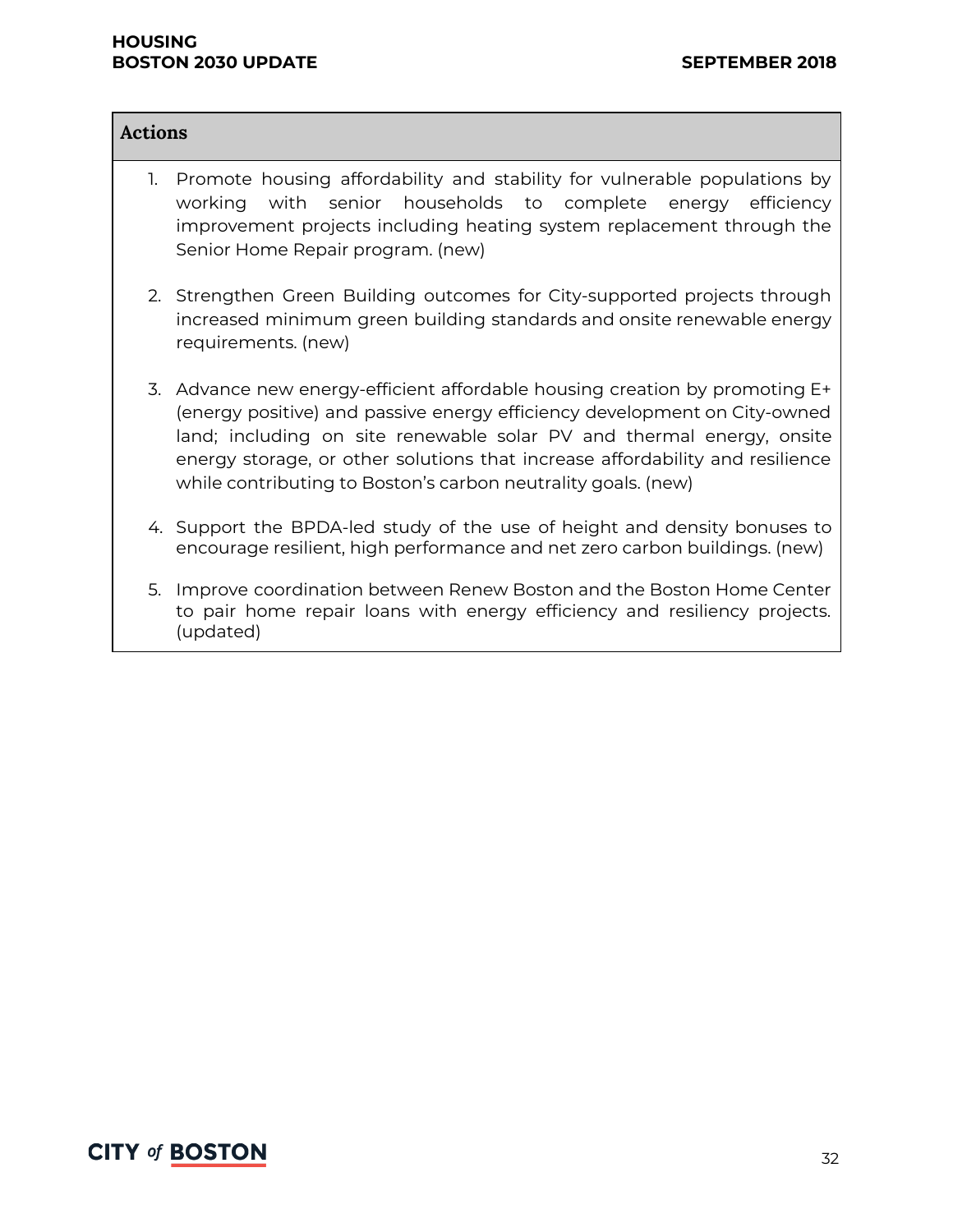#### **HOUSING BOSTON 2030 UPDATE SEPTEMBER 2018**

#### **Actions**

- 1. Promote housing affordability and stability for vulnerable populations by working with senior households to complete energy efficiency improvement projects including heating system replacement through the Senior Home Repair program. (new)
- 2. Strengthen Green Building outcomes for City-supported projects through increased minimum green building standards and onsite renewable energy requirements. (new)
- 3. Advance new energy-efficient affordable housing creation by promoting E+ (energy positive) and passive energy efficiency development on City-owned land; including on site renewable solar PV and thermal energy, onsite energy storage, or other solutions that increase affordability and resilience while contributing to Boston's carbon neutrality goals. (new)
- 4. Support the BPDA-led study of the use of height and density bonuses to encourage resilient, high performance and net zero carbon buildings. (new)
- 5. Improve coordination between Renew Boston and the Boston Home Center to pair home repair loans with energy efficiency and resiliency projects. (updated)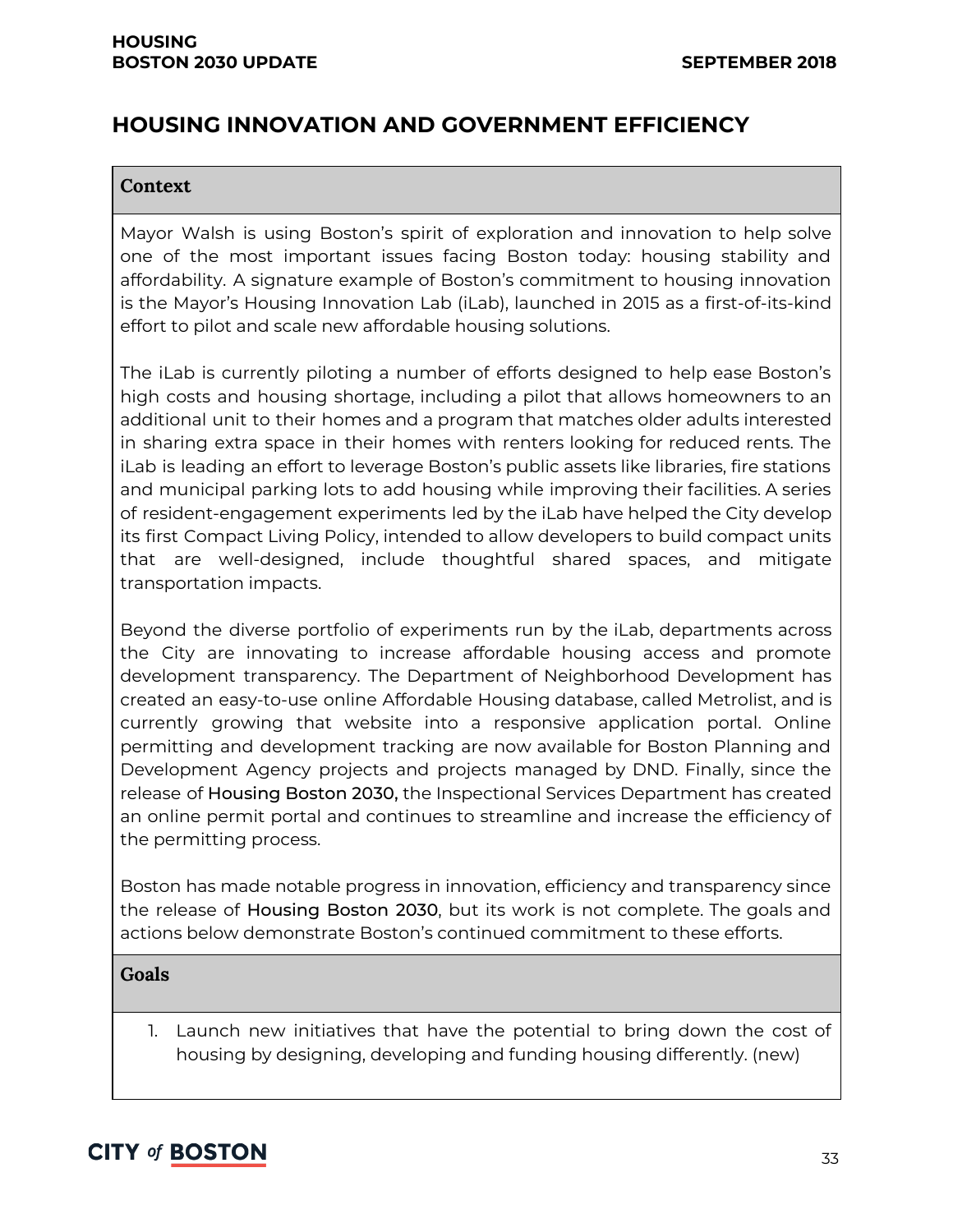# **HOUSING INNOVATION AND GOVERNMENT EFFICIENCY**

#### **Context**

Mayor Walsh is using Boston's spirit of exploration and innovation to help solve one of the most important issues facing Boston today: housing stability and affordability. A signature example of Boston's commitment to housing innovation is the Mayor's Housing Innovation Lab (iLab), launched in 2015 as a first-of-its-kind effort to pilot and scale new affordable housing solutions.

The iLab is currently piloting a number of efforts designed to help ease Boston's high costs and housing shortage, including a pilot that allows homeowners to an additional unit to their homes and a program that matches older adults interested in sharing extra space in their homes with renters looking for reduced rents. The iLab is leading an effort to leverage Boston's public assets like libraries, fire stations and municipal parking lots to add housing while improving their facilities. A series of resident-engagement experiments led by the iLab have helped the City develop its first Compact Living Policy, intended to allow developers to build compact units that are well-designed, include thoughtful shared spaces, and mitigate transportation impacts.

Beyond the diverse portfolio of experiments run by the iLab, departments across the City are innovating to increase affordable housing access and promote development transparency. The Department of Neighborhood Development has created an easy-to-use online Affordable Housing database, called Metrolist, and is currently growing that website into a responsive application portal. Online permitting and development tracking are now available for Boston Planning and Development Agency projects and projects managed by DND. Finally, since the release of Housing Boston 2030, the Inspectional Services Department has created an online permit portal and continues to streamline and increase the efficiency of the permitting process.

Boston has made notable progress in innovation, efficiency and transparency since the release of Housing Boston 2030, but its work is not complete. The goals and actions below demonstrate Boston's continued commitment to these efforts.

#### **Goals**

1. Launch new initiatives that have the potential to bring down the cost of housing by designing, developing and funding housing differently. (new)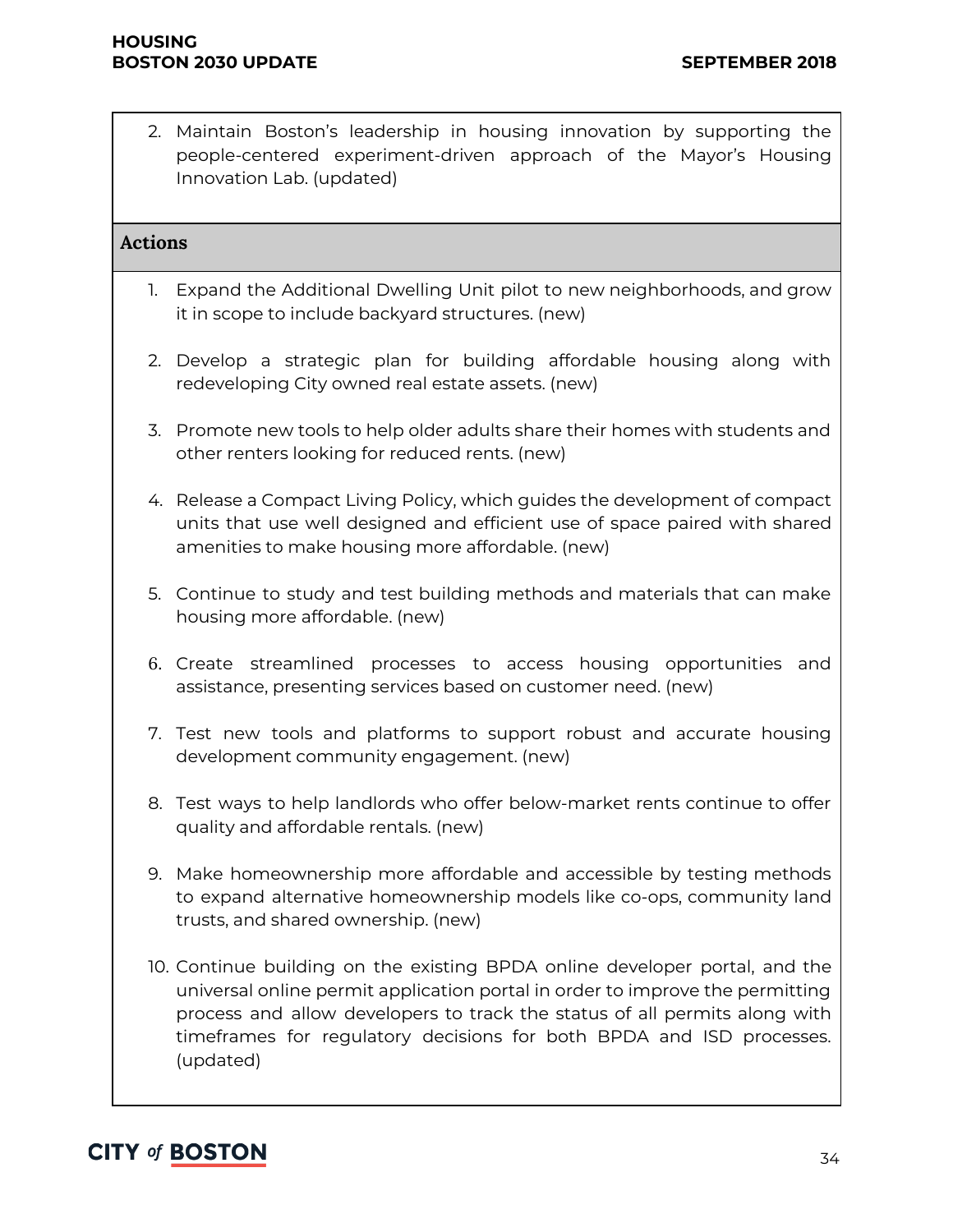2. Maintain Boston's leadership in housing innovation by supporting the people-centered experiment-driven approach of the Mayor's Housing Innovation Lab. (updated)

#### **Actions**

- 1. Expand the Additional Dwelling Unit pilot to new neighborhoods, and grow it in scope to include backyard structures. (new)
- 2. Develop a strategic plan for building affordable housing along with redeveloping City owned real estate assets. (new)
- 3. Promote new tools to help older adults share their homes with students and other renters looking for reduced rents. (new)
- 4. Release a Compact Living Policy, which guides the development of compact units that use well designed and efficient use of space paired with shared amenities to make housing more affordable. (new)
- 5. Continue to study and test building methods and materials that can make housing more affordable. (new)
- 6. Create streamlined processes to access housing opportunities and assistance, presenting services based on customer need. (new)
- 7. Test new tools and platforms to support robust and accurate housing development community engagement. (new)
- 8. Test ways to help landlords who offer below-market rents continue to offer quality and affordable rentals. (new)
- 9. Make homeownership more affordable and accessible by testing methods to expand alternative homeownership models like co-ops, community land trusts, and shared ownership. (new)
- 10. Continue building on the existing BPDA online developer portal, and the universal online permit application portal in order to improve the permitting process and allow developers to track the status of all permits along with timeframes for regulatory decisions for both BPDA and ISD processes. (updated)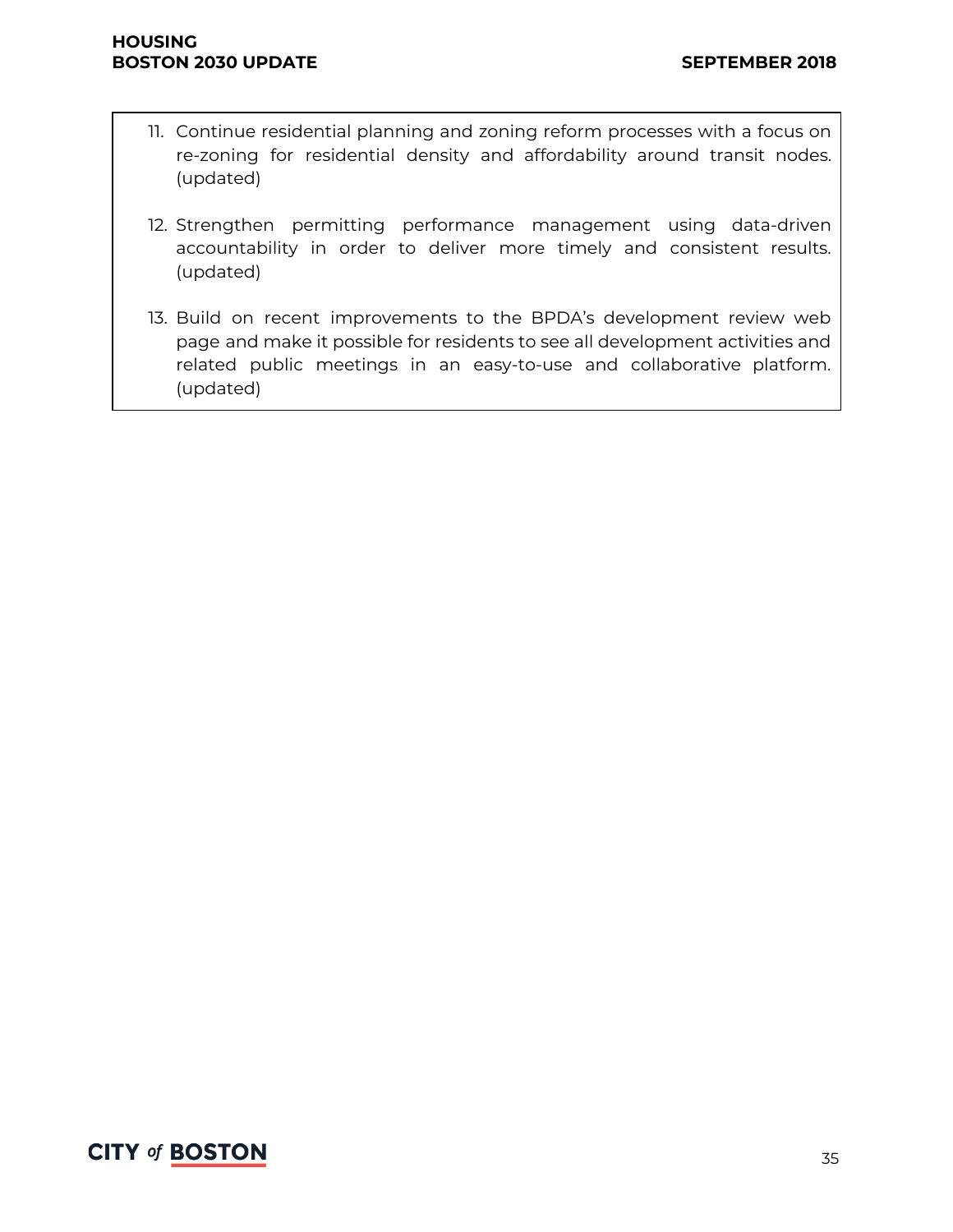- 11. Continue residential planning and zoning reform processes with a focus on re-zoning for residential density and affordability around transit nodes. (updated)
- 12. Strengthen permitting performance management using data-driven accountability in order to deliver more timely and consistent results. (updated)
- 13. Build on recent improvements to the BPDA's development review web page and make it possible for residents to see all development activities and related public meetings in an easy-to-use and collaborative platform. (updated)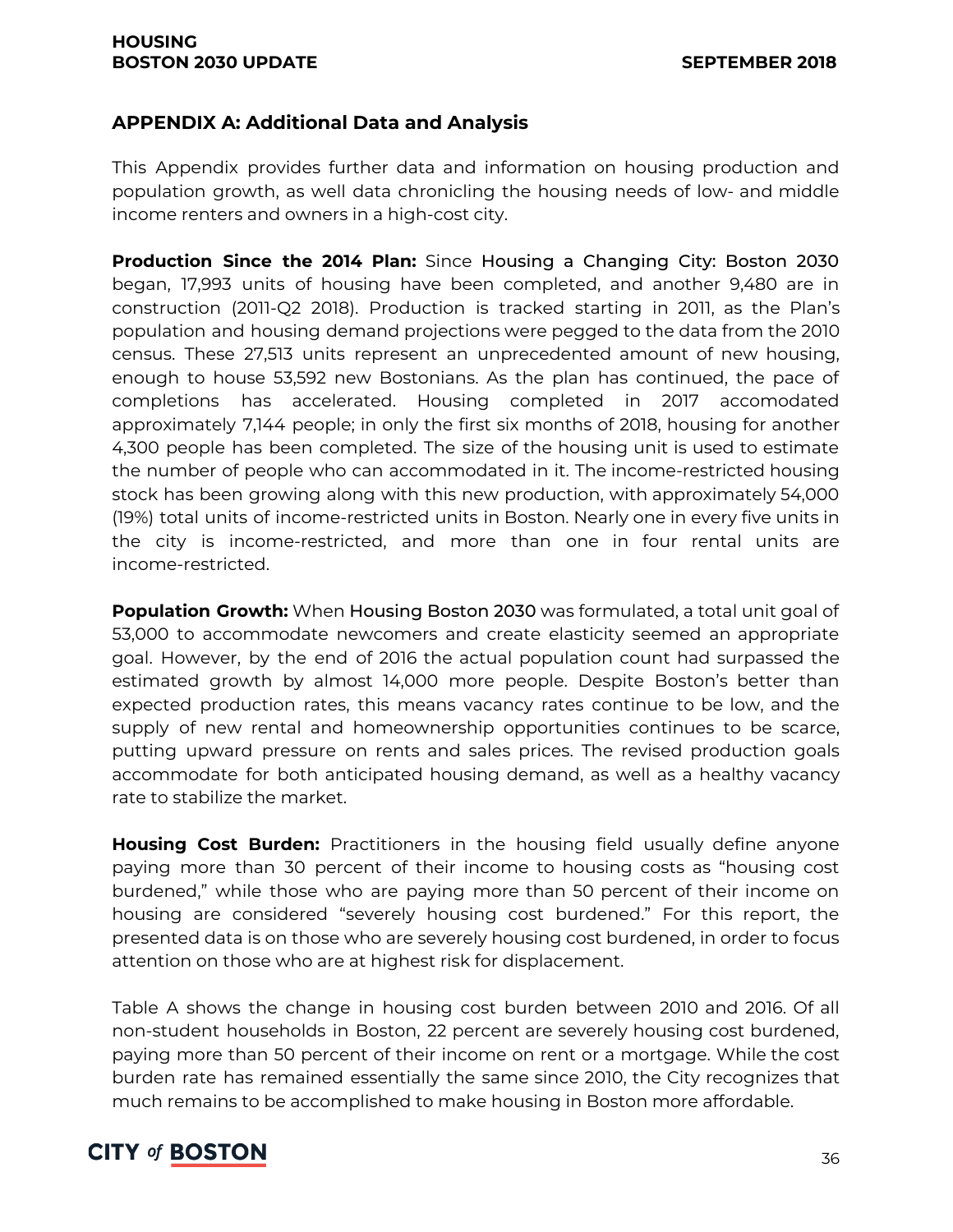#### **APPENDIX A: Additional Data and Analysis**

This Appendix provides further data and information on housing production and population growth, as well data chronicling the housing needs of low- and middle income renters and owners in a high-cost city.

**Production Since the 2014 Plan:** Since Housing a Changing City: Boston 2030 began, 17,993 units of housing have been completed, and another 9,480 are in construction (2011-Q2 2018). Production is tracked starting in 2011, as the Plan's population and housing demand projections were pegged to the data from the 2010 census. These 27,513 units represent an unprecedented amount of new housing, enough to house 53,592 new Bostonians. As the plan has continued, the pace of completions has accelerated. Housing completed in 2017 accomodated approximately 7,144 people; in only the first six months of 2018, housing for another 4,300 people has been completed. The size of the housing unit is used to estimate the number of people who can accommodated in it. The income-restricted housing stock has been growing along with this new production, with approximately 54,000 (19%) total units of income-restricted units in Boston. Nearly one in every five units in the city is income-restricted, and more than one in four rental units are income-restricted.

**Population Growth:** When Housing Boston 2030 was formulated, a total unit goal of 53,000 to accommodate newcomers and create elasticity seemed an appropriate goal. However, by the end of 2016 the actual population count had surpassed the estimated growth by almost 14,000 more people. Despite Boston's better than expected production rates, this means vacancy rates continue to be low, and the supply of new rental and homeownership opportunities continues to be scarce, putting upward pressure on rents and sales prices. The revised production goals accommodate for both anticipated housing demand, as well as a healthy vacancy rate to stabilize the market.

**Housing Cost Burden:** Practitioners in the housing field usually define anyone paying more than 30 percent of their income to housing costs as "housing cost burdened," while those who are paying more than 50 percent of their income on housing are considered "severely housing cost burdened." For this report, the presented data is on those who are severely housing cost burdened, in order to focus attention on those who are at highest risk for displacement.

Table A shows the change in housing cost burden between 2010 and 2016. Of all non-student households in Boston, 22 percent are severely housing cost burdened, paying more than 50 percent of their income on rent or a mortgage. While the cost burden rate has remained essentially the same since 2010, the City recognizes that much remains to be accomplished to make housing in Boston more affordable.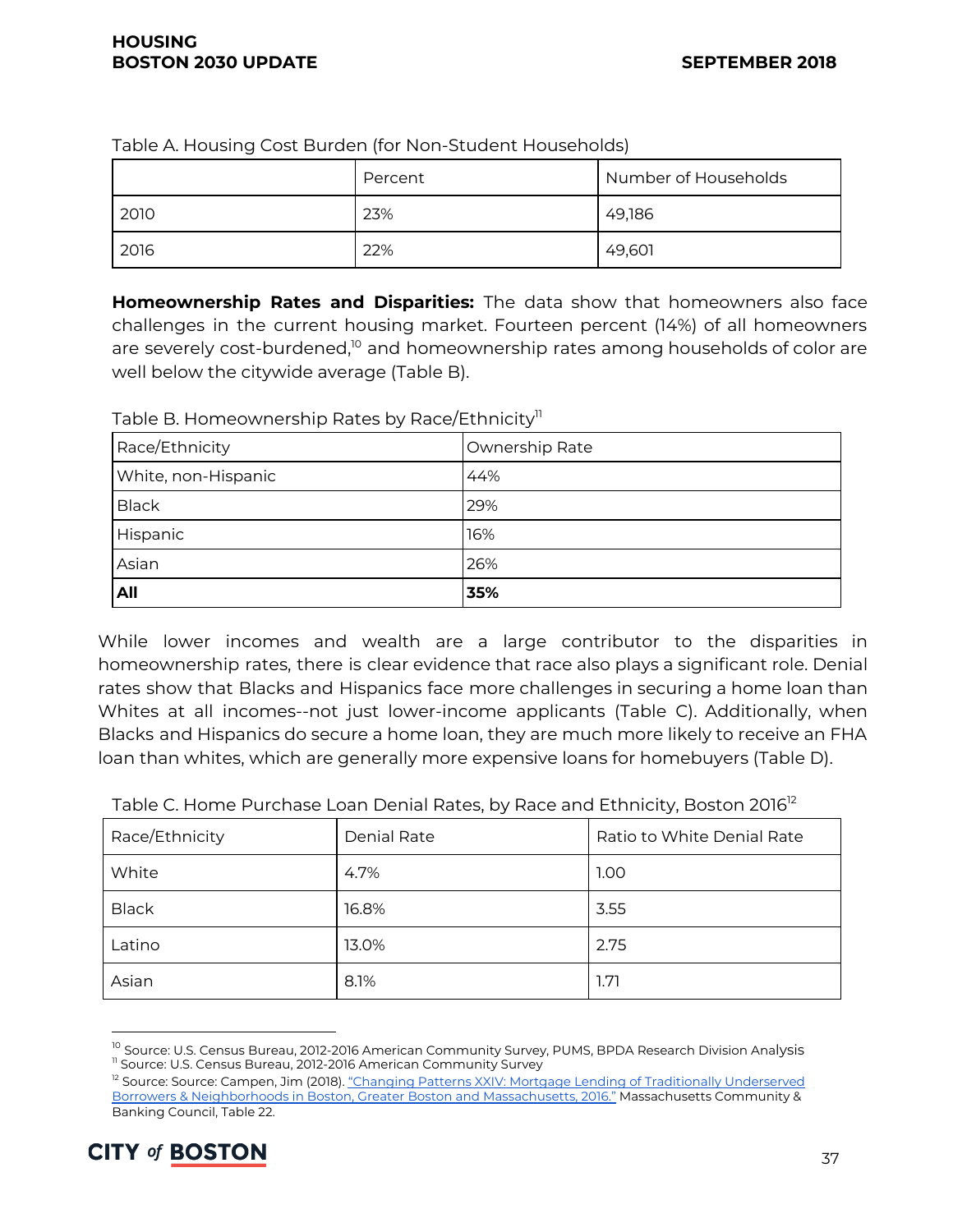| ້    |         |                      |
|------|---------|----------------------|
|      | Percent | Number of Households |
| 2010 | 23%     | 49,186               |
| 2016 | 22%     | 49,601               |

Table A. Housing Cost Burden (for Non-Student Households)

**Homeownership Rates and Disparities:** The data show that homeowners also face challenges in the current housing market. Fourteen percent (14%) of all homeowners are severely cost-burdened, $^{\text{lo}}$  and homeownership rates among households of color are well below the citywide average (Table B).

| All                 | 35%            |
|---------------------|----------------|
| Asian               | 26%            |
| Hispanic            | 16%            |
| <b>Black</b>        | 29%            |
| White, non-Hispanic | 44%            |
| Race/Ethnicity      | Ownership Rate |

Table B. Homeownership Rates by Race/Ethnicity''

While lower incomes and wealth are a large contributor to the disparities in homeownership rates, there is clear evidence that race also plays a significant role. Denial rates show that Blacks and Hispanics face more challenges in securing a home loan than Whites at all incomes--not just lower-income applicants (Table C). Additionally, when Blacks and Hispanics do secure a home loan, they are much more likely to receive an FHA loan than whites, which are generally more expensive loans for homebuyers (Table D).

| Race/Ethnicity | <b>Denial Rate</b> | Ratio to White Denial Rate |
|----------------|--------------------|----------------------------|
| White          | 4.7%               | 1.00                       |
| <b>Black</b>   | 16.8%              | 3.55                       |
| Latino         | 13.0%              | 2.75                       |
| Asian          | 8.1%               | 1.71                       |

Table C. Home Purchase Loan Denial Rates, by Race and Ethnicity, Boston 2016<sup>12</sup>

<sup>&</sup>lt;sup>12</sup> Source: Source: Campen, Jim (2018). "Changing Patterns XXIV: Mortgage Lending of Traditionally [Underserved](http://mcbc.info/wp-content/uploads/2018/01/CP24ReportFinalJan2018.pdf) Borrowers & [Neighborhoods](http://mcbc.info/wp-content/uploads/2018/01/CP24ReportFinalJan2018.pdf) in Boston, Greater Boston and Massachusetts, 2016." Massachusetts Community & Banking Council, Table 22.



<sup>&</sup>lt;sup>10</sup> Source: U.S. Census Bureau, 2012-2016 American Community Survey, PUMS, BPDA Research Division Analysis <sup>11</sup> Source: U.S. Census Bureau, 2012-2016 American Community Survey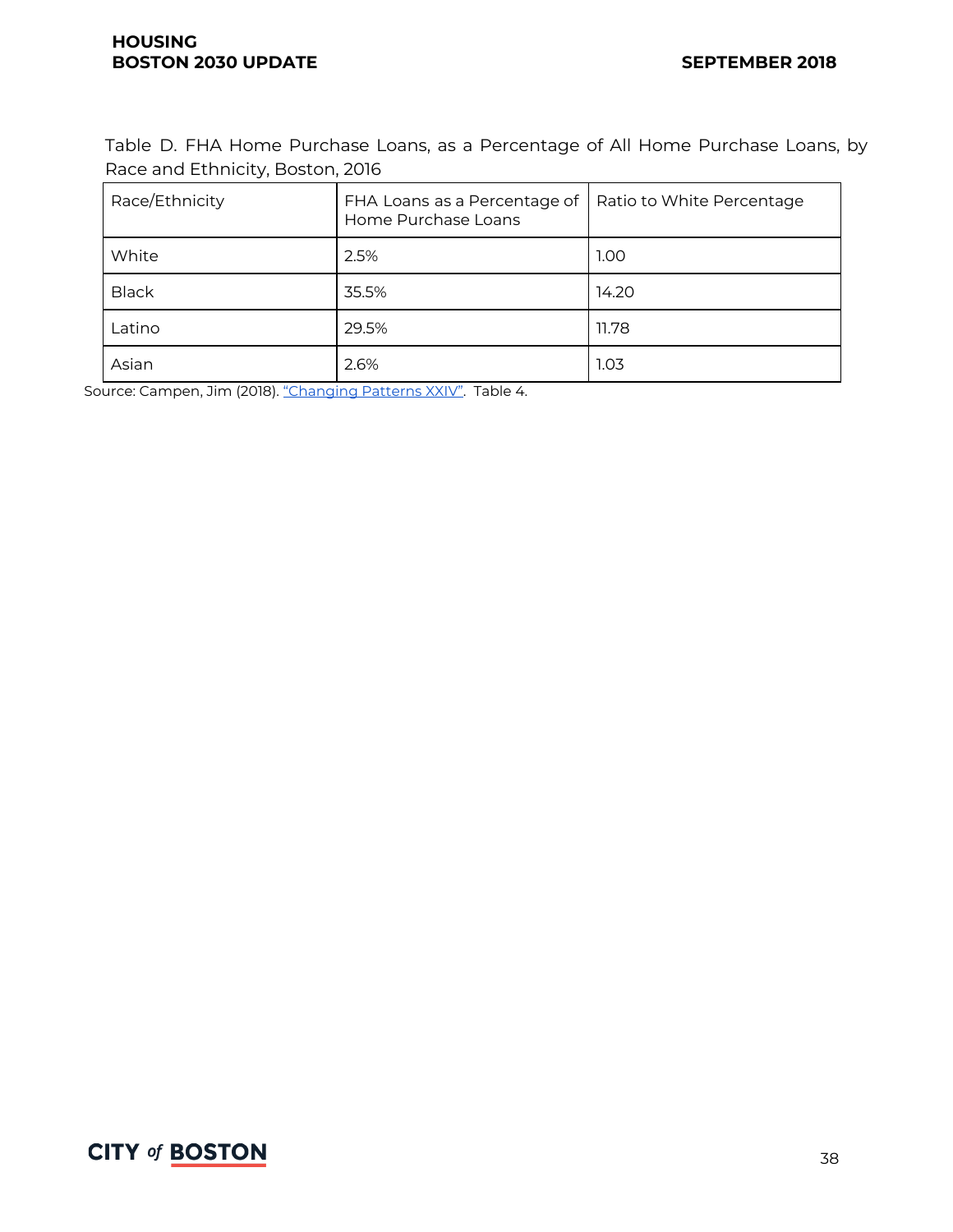Table D. FHA Home Purchase Loans, as a Percentage of All Home Purchase Loans, by Race and Ethnicity, Boston, 2016

| Race/Ethnicity | FHA Loans as a Percentage of<br>Home Purchase Loans | Ratio to White Percentage |
|----------------|-----------------------------------------------------|---------------------------|
| White          | 2.5%                                                | 1.00                      |
| <b>Black</b>   | 35.5%                                               | 14.20                     |
| Latino         | 29.5%                                               | 11.78                     |
| Asian          | 2.6%                                                | 1.03                      |

Source: Campen, Jim (2018). ["Changing](http://mcbc.info/wp-content/uploads/2018/01/CP24ReportFinalJan2018.pdf) Patterns XXIV". Table 4.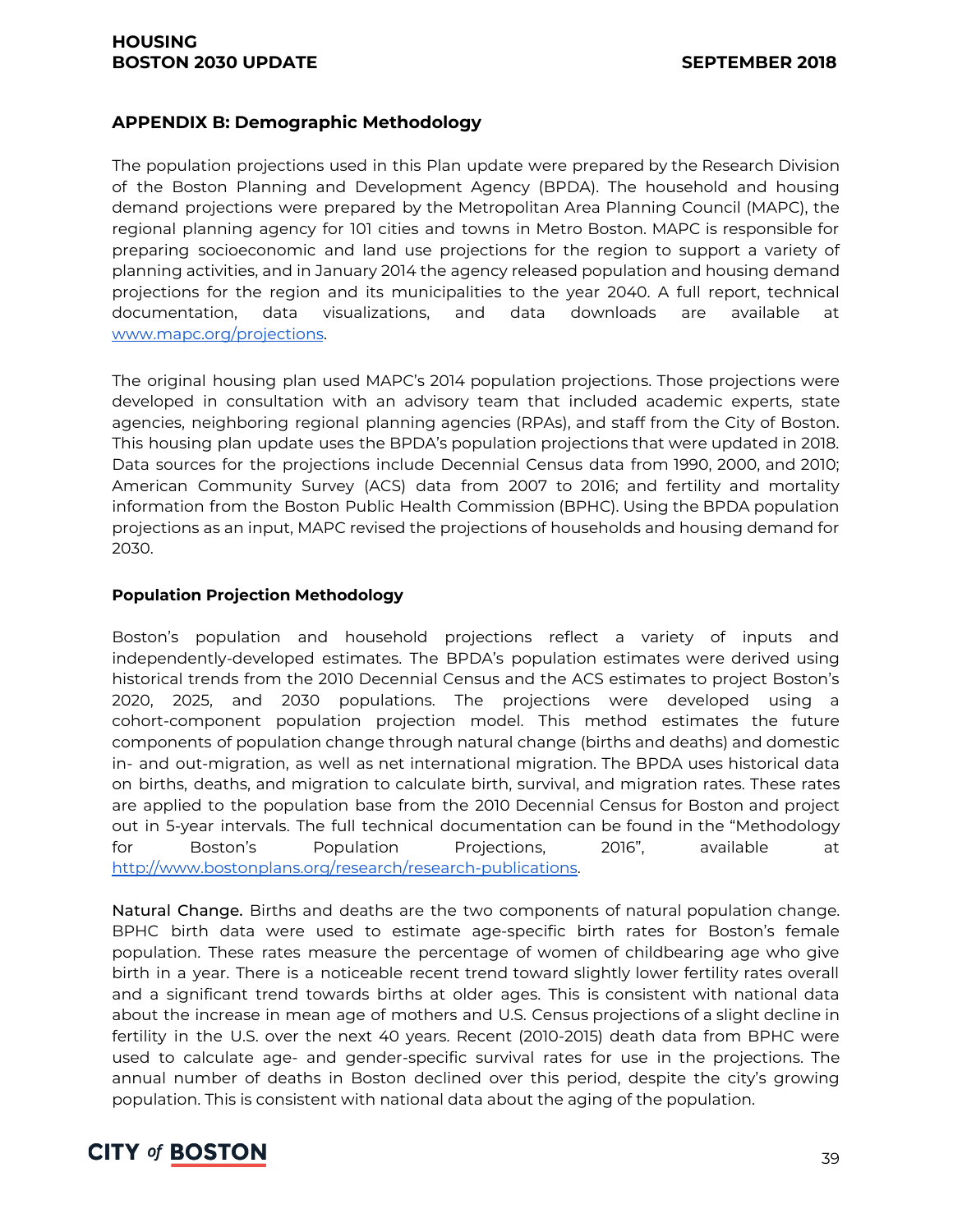#### **HOUSING BOSTON 2030 UPDATE SEPTEMBER 2018**

#### **APPENDIX B: Demographic Methodology**

The population projections used in this Plan update were prepared by the Research Division of the Boston Planning and Development Agency (BPDA). The household and housing demand projections were prepared by the Metropolitan Area Planning Council (MAPC), the regional planning agency for 101 cities and towns in Metro Boston. MAPC is responsible for preparing socioeconomic and land use projections for the region to support a variety of planning activities, and in January 2014 the agency released population and housing demand projections for the region and its municipalities to the year 2040. A full report, technical documentation, data visualizations, and data downloads are available a[t](http://www.mapc.org/projections) [www.mapc.org/projections](http://www.mapc.org/projections).

The original housing plan used MAPC's 2014 population projections. Those projections were developed in consultation with an advisory team that included academic experts, state agencies, neighboring regional planning agencies (RPAs), and staff from the City of Boston. This housing plan update uses the BPDA's population projections that were updated in 2018. Data sources for the projections include Decennial Census data from 1990, 2000, and 2010; American Community Survey (ACS) data from 2007 to 2016; and fertility and mortality information from the Boston Public Health Commission (BPHC). Using the BPDA population projections as an input, MAPC revised the projections of households and housing demand for 2030.

#### **Population Projection Methodology**

Boston's population and household projections reflect a variety of inputs and independently-developed estimates. The BPDA's population estimates were derived using historical trends from the 2010 Decennial Census and the ACS estimates to project Boston's 2020, 2025, and 2030 populations. The projections were developed using a cohort-component population projection model. This method estimates the future components of population change through natural change (births and deaths) and domestic in- and out-migration, as well as net international migration. The BPDA uses historical data on births, deaths, and migration to calculate birth, survival, and migration rates. These rates are applied to the population base from the 2010 Decennial Census for Boston and project out in 5-year intervals. The full technical documentation can be found in the "Methodology for Boston's Population Projections, 2016", available a[t](http://www.bostonplans.org/research/research-publications) <http://www.bostonplans.org/research/research-publications>.

Natural Change. Births and deaths are the two components of natural population change. BPHC birth data were used to estimate age-specific birth rates for Boston's female population. These rates measure the percentage of women of childbearing age who give birth in a year. There is a noticeable recent trend toward slightly lower fertility rates overall and a significant trend towards births at older ages. This is consistent with national data about the increase in mean age of mothers and U.S. Census projections of a slight decline in fertility in the U.S. over the next 40 years. Recent (2010-2015) death data from BPHC were used to calculate age- and gender-specific survival rates for use in the projections. The annual number of deaths in Boston declined over this period, despite the city's growing population. This is consistent with national data about the aging of the population.